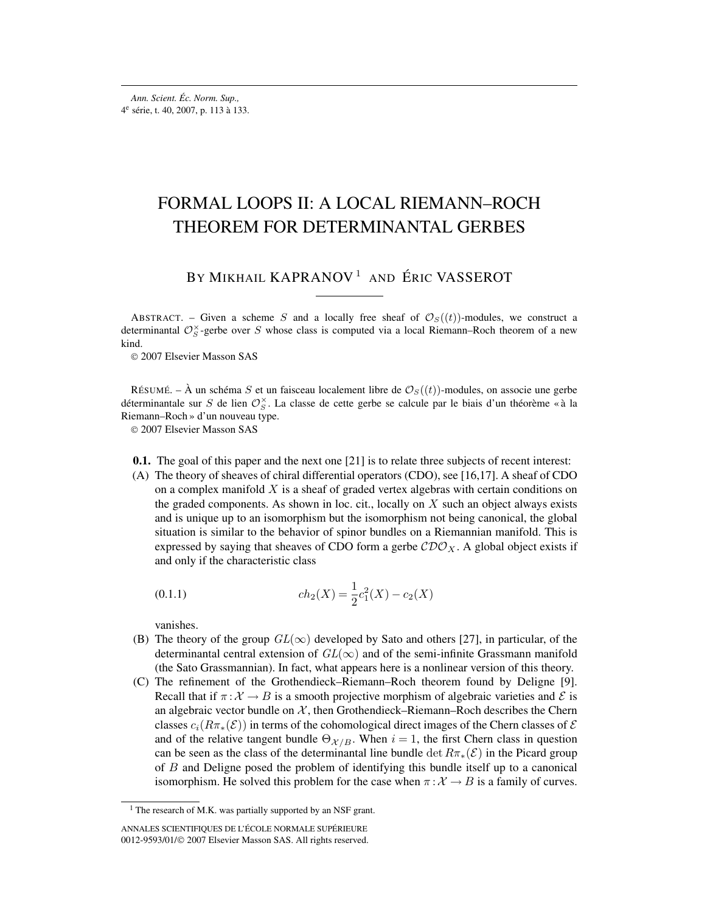# FORMAL LOOPS II: A LOCAL RIEMANN–ROCH THEOREM FOR DETERMINANTAL GERBES

# BY MIKHAIL KAPRANOV<sup>1</sup> AND ÉRIC VASSEROT

ABSTRACT. – Given a scheme S and a locally free sheaf of  $\mathcal{O}_S((t))$ -modules, we construct a determinantal  $\mathcal{O}_S^{\times}$ -gerbe over S whose class is computed via a local Riemann–Roch theorem of a new kind.

© 2007 Elsevier Masson SAS

RÉSUMÉ. – À un schéma S et un faisceau localement libre de  $\mathcal{O}_S((t))$ -modules, on associe une gerbe déterminantale sur S de lien  $\mathcal{O}_S^{\times}$ . La classe de cette gerbe se calcule par le biais d'un théorème « à la Riemann–Roch » d'un nouveau type.

© 2007 Elsevier Masson SAS

- **0.1.** The goal of this paper and the next one [21] is to relate three subjects of recent interest:
- (A) The theory of sheaves of chiral differential operators (CDO), see [16,17]. A sheaf of CDO on a complex manifold  $X$  is a sheaf of graded vertex algebras with certain conditions on the graded components. As shown in loc. cit., locally on  $X$  such an object always exists and is unique up to an isomorphism but the isomorphism not being canonical, the global situation is similar to the behavior of spinor bundles on a Riemannian manifold. This is expressed by saying that sheaves of CDO form a gerbe  $\mathcal{CDO}_{X}$ . A global object exists if and only if the characteristic class

$$
(0.1.1)\qquad \qquad ch_2(X) = \frac{1}{2}c_1^2(X) - c_2(X)
$$

vanishes.

- (B) The theory of the group  $GL(\infty)$  developed by Sato and others [27], in particular, of the determinantal central extension of  $GL(\infty)$  and of the semi-infinite Grassmann manifold (the Sato Grassmannian). In fact, what appears here is a nonlinear version of this theory.
- (C) The refinement of the Grothendieck–Riemann–Roch theorem found by Deligne [9]. Recall that if  $\pi : \mathcal{X} \to B$  is a smooth projective morphism of algebraic varieties and  $\mathcal{E}$  is an algebraic vector bundle on  $X$ , then Grothendieck–Riemann–Roch describes the Chern classes  $c_i(R\pi_*(\mathcal{E}))$  in terms of the cohomological direct images of the Chern classes of  $\mathcal E$ and of the relative tangent bundle  $\Theta_{\mathcal{X}/B}$ . When  $i = 1$ , the first Chern class in question can be seen as the class of the determinantal line bundle det  $R\pi_*(\mathcal{E})$  in the Picard group of B and Deligne posed the problem of identifying this bundle itself up to a canonical isomorphism. He solved this problem for the case when  $\pi : \mathcal{X} \to B$  is a family of curves.

<sup>&</sup>lt;sup>1</sup> The research of M.K. was partially supported by an NSF grant.

ANNALES SCIENTIFIQUES DE L'ÉCOLE NORMALE SUPÉRIEURE 0012-9593/01/© 2007 Elsevier Masson SAS. All rights reserved.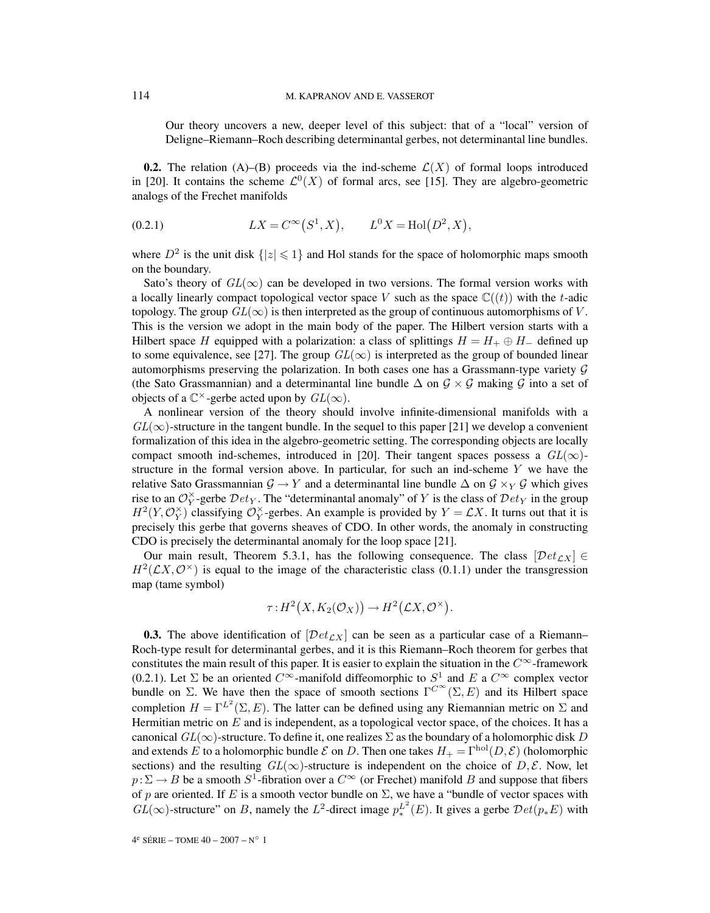Our theory uncovers a new, deeper level of this subject: that of a "local" version of Deligne–Riemann–Roch describing determinantal gerbes, not determinantal line bundles.

**0.2.** The relation (A)–(B) proceeds via the ind-scheme  $\mathcal{L}(X)$  of formal loops introduced in [20]. It contains the scheme  $\mathcal{L}^0(X)$  of formal arcs, see [15]. They are algebro-geometric analogs of the Frechet manifolds

(0.2.1) 
$$
LX = C^{\infty}(S^1, X), \qquad L^0 X = Hol(D^2, X),
$$

where  $D^2$  is the unit disk  $\{|z| \leq 1\}$  and Hol stands for the space of holomorphic maps smooth on the boundary.

Sato's theory of  $GL(\infty)$  can be developed in two versions. The formal version works with a locally linearly compact topological vector space V such as the space  $\mathbb{C}((t))$  with the t-adic topology. The group  $GL(\infty)$  is then interpreted as the group of continuous automorphisms of V. This is the version we adopt in the main body of the paper. The Hilbert version starts with a Hilbert space H equipped with a polarization: a class of splittings  $H = H_+ \oplus H_-$  defined up to some equivalence, see [27]. The group  $GL(\infty)$  is interpreted as the group of bounded linear automorphisms preserving the polarization. In both cases one has a Grassmann-type variety  $\mathcal G$ (the Sato Grassmannian) and a determinantal line bundle  $\Delta$  on  $\mathcal{G} \times \mathcal{G}$  making  $\mathcal{G}$  into a set of objects of a  $\mathbb{C}^{\times}$ -gerbe acted upon by  $GL(\infty)$ .

A nonlinear version of the theory should involve infinite-dimensional manifolds with a  $GL(\infty)$ -structure in the tangent bundle. In the sequel to this paper [21] we develop a convenient formalization of this idea in the algebro-geometric setting. The corresponding objects are locally compact smooth ind-schemes, introduced in [20]. Their tangent spaces possess a  $GL(\infty)$ structure in the formal version above. In particular, for such an ind-scheme  $Y$  we have the relative Sato Grassmannian  $\mathcal{G} \to Y$  and a determinantal line bundle  $\Delta$  on  $\mathcal{G} \times_Y \mathcal{G}$  which gives rise to an  $\mathcal{O}_Y^{\times}$ -gerbe  $Det_Y$ . The "determinantal anomaly" of Y is the class of  $Det_Y$  in the group  $H^2(Y, \mathcal{O}_Y^{\times})$  classifying  $\mathcal{O}_Y^{\times}$ -gerbes. An example is provided by  $Y = \mathcal{L}X$ . It turns out that it is precisely this gerbe that governs sheaves of CDO. In other words, the anomaly in constructing CDO is precisely the determinantal anomaly for the loop space [21].

Our main result, Theorem 5.3.1, has the following consequence. The class  $[Det_{CX}] \in$  $H^2(\mathcal{L}X,\mathcal{O}^{\times})$  is equal to the image of the characteristic class (0.1.1) under the transgression map (tame symbol)

$$
\tau: H^2(X, K_2(\mathcal{O}_X)) \to H^2(\mathcal{L}X, \mathcal{O}^\times).
$$

**0.3.** The above identification of  $[\text{Det}_{\mathcal{L}X}]$  can be seen as a particular case of a Riemann– Roch-type result for determinantal gerbes, and it is this Riemann–Roch theorem for gerbes that constitutes the main result of this paper. It is easier to explain the situation in the  $C^{\infty}$ -framework (0.2.1). Let  $\Sigma$  be an oriented  $C^{\infty}$ -manifold diffeomorphic to  $S^1$  and E a  $C^{\infty}$  complex vector bundle on  $\Sigma$ . We have then the space of smooth sections  $\Gamma^{C^{\infty}}(\Sigma, E)$  and its Hilbert space completion  $H = \Gamma^{L^2}(\Sigma, E)$ . The latter can be defined using any Riemannian metric on  $\Sigma$  and Hermitian metric on  $E$  and is independent, as a topological vector space, of the choices. It has a canonical  $GL(\infty)$ -structure. To define it, one realizes  $\Sigma$  as the boundary of a holomorphic disk D and extends E to a holomorphic bundle E on D. Then one takes  $H_{+} = \Gamma^{\text{hol}}(D, \mathcal{E})$  (holomorphic sections) and the resulting  $GL(\infty)$ -structure is independent on the choice of D, E. Now, let  $p:\Sigma \to B$  be a smooth  $S^1$ -fibration over a  $C^{\infty}$  (or Frechet) manifold B and suppose that fibers of p are oriented. If E is a smooth vector bundle on  $\Sigma$ , we have a "bundle of vector spaces with  $GL(\infty)$ -structure" on B, namely the  $L^2$ -direct image  $p_*^{L^2}(E)$ . It gives a gerbe  $Det(p_*E)$  with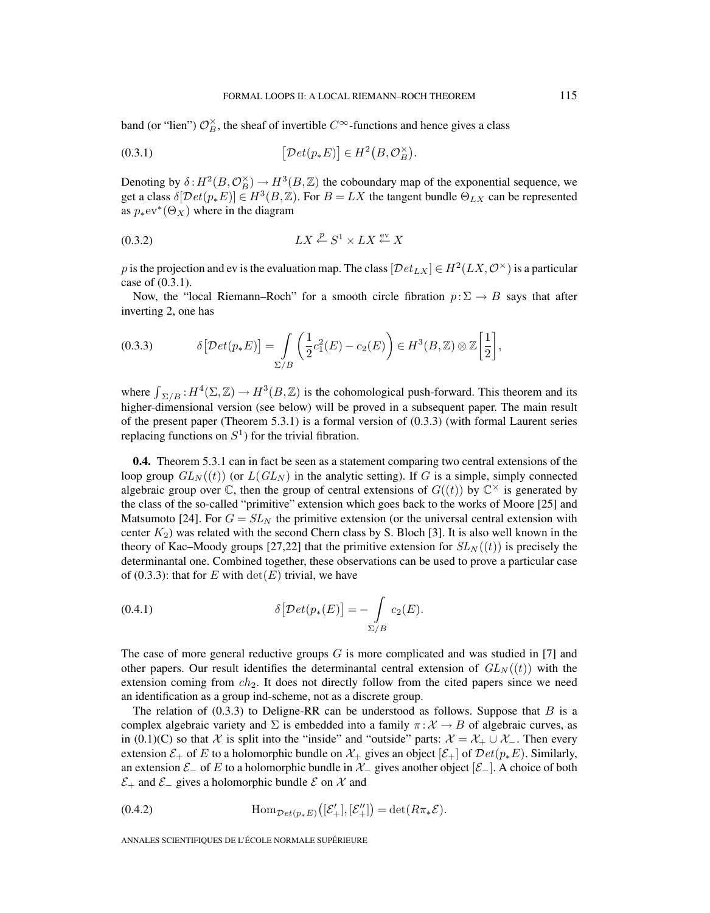band (or "lien")  $\mathcal{O}_B^{\times}$ , the sheaf of invertible  $C^{\infty}$ -functions and hence gives a class

$$
(0.3.1) \qquad \qquad [\mathcal{D}et(p_*E)] \in H^2(B,\mathcal{O}_B^\times).
$$

Denoting by  $\delta: H^2(B, \mathcal{O}_B^{\times}) \to H^3(B, \mathbb{Z})$  the coboundary map of the exponential sequence, we get a class  $\delta[\mathcal{D}et(p_*E)] \in H^3(B,\mathbb{Z})$ . For  $B = LX$  the tangent bundle  $\Theta_{LX}$  can be represented as  $p_*ev^*(\Theta_X)$  where in the diagram

$$
(0.3.2) \t\t LX \xleftarrow{p} S^1 \times LX \xleftarrow{\text{ev}} X
$$

p is the projection and ev is the evaluation map. The class  $[Det_{LX}] \in H^2(LX, \mathcal{O}^\times)$  is a particular case of (0.3.1).

Now, the "local Riemann–Roch" for a smooth circle fibration  $p:\Sigma \to B$  says that after inverting 2, one has

$$
(0.3.3) \qquad \delta\big[\mathcal{D}et(p_*E)\big] = \int\limits_{\Sigma/B} \bigg(\frac{1}{2}c_1^2(E) - c_2(E)\bigg) \in H^3(B,\mathbb{Z}) \otimes \mathbb{Z}\bigg[\frac{1}{2}\bigg],
$$

where  $\int_{\Sigma/B} H^4(\Sigma, \mathbb{Z}) \to H^3(B, \mathbb{Z})$  is the cohomological push-forward. This theorem and its higher-dimensional version (see below) will be proved in a subsequent paper. The main result of the present paper (Theorem 5.3.1) is a formal version of (0.3.3) (with formal Laurent series replacing functions on  $S<sup>1</sup>$  for the trivial fibration.

**0.4.** Theorem 5.3.1 can in fact be seen as a statement comparing two central extensions of the loop group  $GL_N((t))$  (or  $L(GL_N)$  in the analytic setting). If G is a simple, simply connected algebraic group over  $\mathbb C$ , then the group of central extensions of  $G((t))$  by  $\mathbb C^{\times}$  is generated by the class of the so-called "primitive" extension which goes back to the works of Moore [25] and Matsumoto [24]. For  $G = SL<sub>N</sub>$  the primitive extension (or the universal central extension with center  $K_2$ ) was related with the second Chern class by S. Bloch [3]. It is also well known in the theory of Kac–Moody groups [27,22] that the primitive extension for  $SL_N((t))$  is precisely the determinantal one. Combined together, these observations can be used to prove a particular case of (0.3.3): that for E with  $\det(E)$  trivial, we have

$$
(0.4.1) \t\t \delta[\mathcal{D}et(p_*(E)] = -\int_{\Sigma/B} c_2(E).
$$

The case of more general reductive groups  $G$  is more complicated and was studied in [7] and other papers. Our result identifies the determinantal central extension of  $GL_N((t))$  with the extension coming from  $ch_2$ . It does not directly follow from the cited papers since we need an identification as a group ind-scheme, not as a discrete group.

The relation of  $(0.3.3)$  to Deligne-RR can be understood as follows. Suppose that B is a complex algebraic variety and  $\Sigma$  is embedded into a family  $\pi : \mathcal{X} \to B$  of algebraic curves, as in (0.1)(C) so that X is split into the "inside" and "outside" parts:  $\mathcal{X} = \mathcal{X}_+ \cup \mathcal{X}_-$ . Then every extension  $\mathcal{E}_+$  of E to a holomorphic bundle on  $\mathcal{X}_+$  gives an object  $[\mathcal{E}_+]$  of  $\mathcal{D}et(p_*E)$ . Similarly, an extension  $\mathcal{E}_-$  of E to a holomorphic bundle in  $\mathcal{X}_-$  gives another object  $[\mathcal{E}_-]$ . A choice of both  $\mathcal{E}_+$  and  $\mathcal{E}_-$  gives a holomorphic bundle  $\mathcal E$  on  $\mathcal X$  and

(0.4.2) 
$$
\text{Hom}_{\mathcal{D}et(p_*E)}([\mathcal{E}'_+],[\mathcal{E}''_+])=\det(R\pi_*\mathcal{E}).
$$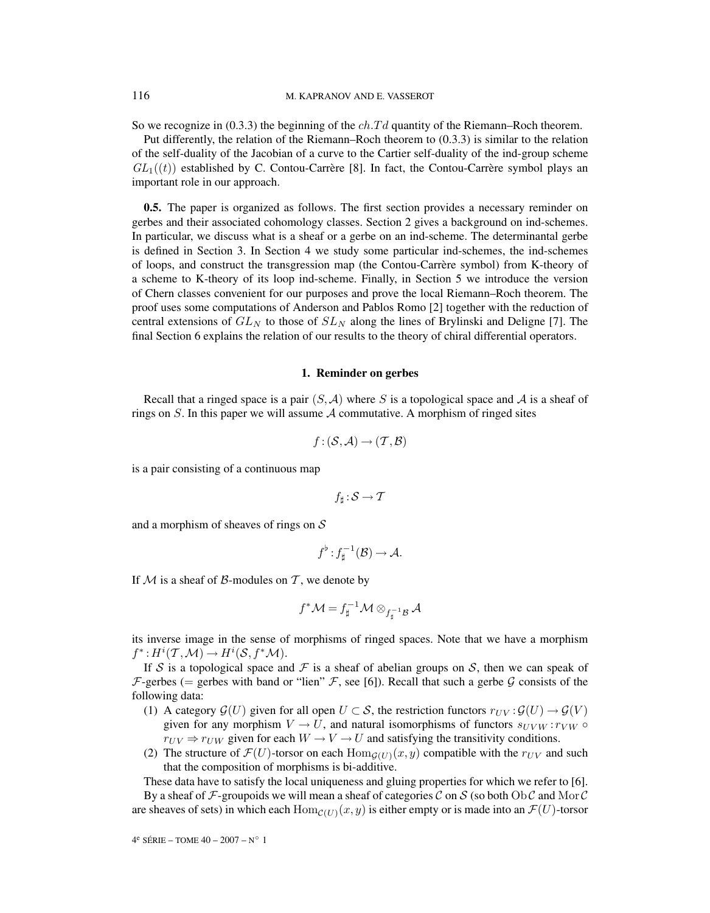So we recognize in (0.3.3) the beginning of the  $ch.Td$  quantity of the Riemann–Roch theorem.

Put differently, the relation of the Riemann–Roch theorem to (0.3.3) is similar to the relation of the self-duality of the Jacobian of a curve to the Cartier self-duality of the ind-group scheme  $GL_1((t))$  established by C. Contou-Carrère [8]. In fact, the Contou-Carrère symbol plays an important role in our approach.

**0.5.** The paper is organized as follows. The first section provides a necessary reminder on gerbes and their associated cohomology classes. Section 2 gives a background on ind-schemes. In particular, we discuss what is a sheaf or a gerbe on an ind-scheme. The determinantal gerbe is defined in Section 3. In Section 4 we study some particular ind-schemes, the ind-schemes of loops, and construct the transgression map (the Contou-Carrère symbol) from K-theory of a scheme to K-theory of its loop ind-scheme. Finally, in Section 5 we introduce the version of Chern classes convenient for our purposes and prove the local Riemann–Roch theorem. The proof uses some computations of Anderson and Pablos Romo [2] together with the reduction of central extensions of  $GL_N$  to those of  $SL_N$  along the lines of Brylinski and Deligne [7]. The final Section 6 explains the relation of our results to the theory of chiral differential operators.

#### **1. Reminder on gerbes**

Recall that a ringed space is a pair  $(S, \mathcal{A})$  where S is a topological space and A is a sheaf of rings on  $S$ . In this paper we will assume  $A$  commutative. A morphism of ringed sites

$$
f: (\mathcal{S}, \mathcal{A}) \to (\mathcal{T}, \mathcal{B})
$$

is a pair consisting of a continuous map

$$
f_\sharp\!:\!\mathcal{S}\to\mathcal{T}
$$

and a morphism of sheaves of rings on  $S$ 

$$
f^{\flat}: f_{\sharp}^{-1}(\mathcal{B}) \to \mathcal{A}.
$$

If  $M$  is a sheaf of  $\beta$ -modules on  $\mathcal T$ , we denote by

$$
f^*\mathcal{M}=f_\sharp^{-1}\mathcal{M}\otimes_{f_\sharp^{-1}\mathcal{B}}\mathcal{A}
$$

its inverse image in the sense of morphisms of ringed spaces. Note that we have a morphism  $f^*: H^i(\mathcal{T},\mathcal{M}) \to H^i(\mathcal{S}, f^*\mathcal{M}).$ 

If S is a topological space and F is a sheaf of abelian groups on S, then we can speak of F-gerbes (= gerbes with band or "lien"  $\mathcal F$ , see [6]). Recall that such a gerbe  $\mathcal G$  consists of the following data:

- (1) A category  $\mathcal{G}(U)$  given for all open  $U \subset \mathcal{S}$ , the restriction functors  $r_{UV} : \mathcal{G}(U) \to \mathcal{G}(V)$ given for any morphism  $V \to U$ , and natural isomorphisms of functors  $s_{UVW} : r_{VW} \circ$  $r_{UV} \Rightarrow r_{UW}$  given for each  $W \rightarrow V \rightarrow U$  and satisfying the transitivity conditions.
- (2) The structure of  $\mathcal{F}(U)$ -torsor on each  $\text{Hom}_{\mathcal{G}(U)}(x, y)$  compatible with the  $r_{UV}$  and such that the composition of morphisms is bi-additive.

These data have to satisfy the local uniqueness and gluing properties for which we refer to [6]. By a sheaf of F-groupoids we will mean a sheaf of categories C on S (so both Ob C and Mor C are sheaves of sets) in which each  $\text{Hom}_{\mathcal{C}(U)}(x, y)$  is either empty or is made into an  $\mathcal{F}(U)$ -torsor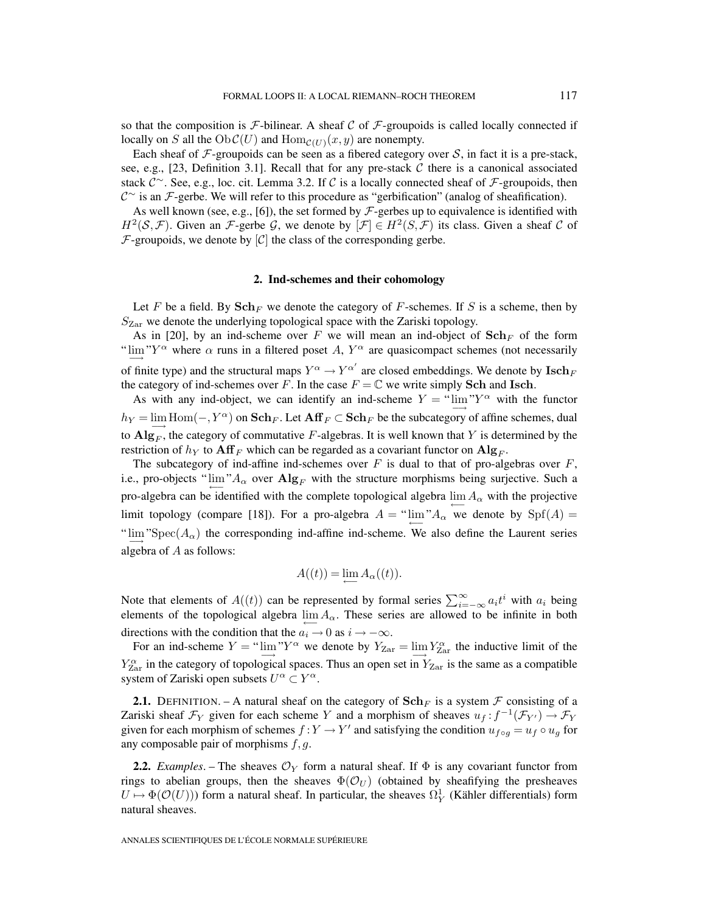so that the composition is  $\mathcal F$ -bilinear. A sheaf C of  $\mathcal F$ -groupoids is called locally connected if locally on S all the  $Ob \mathcal{C}(U)$  and  $Hom_{\mathcal{C}(U)}(x, y)$  are nonempty.

Each sheaf of  $\mathcal F$ -groupoids can be seen as a fibered category over S, in fact it is a pre-stack, see, e.g., [23, Definition 3.1]. Recall that for any pre-stack  $C$  there is a canonical associated stack  $\mathcal{C}^{\sim}$ . See, e.g., loc. cit. Lemma 3.2. If C is a locally connected sheaf of  $\mathcal{F}$ -groupoids, then C<sup>∼</sup> is an F-gerbe. We will refer to this procedure as "gerbification" (analog of sheafification).

As well known (see, e.g., [6]), the set formed by  $\mathcal{F}\text{-gerbes}$  up to equivalence is identified with  $H^2(\mathcal{S},\mathcal{F})$ . Given an F-gerbe G, we denote by  $[\mathcal{F}] \in H^2(\mathcal{S},\mathcal{F})$  its class. Given a sheaf C of  $\mathcal F$ -groupoids, we denote by  $[\mathcal C]$  the class of the corresponding gerbe.

#### **2. Ind-schemes and their cohomology**

Let F be a field. By  $\text{Sch}_F$  we denote the category of F-schemes. If S is a scheme, then by  $S_{\text{Zar}}$  we denote the underlying topological space with the Zariski topology.

As in [20], by an ind-scheme over F we will mean an ind-object of  $\text{Sch}_F$  of the form " $\lim_{\longrightarrow}$ "Y<sup>\"</sup> where  $\alpha$  runs in a filtered poset A, Y<sup>\"</sup> are quasicompact schemes (not necessarily of finite type) and the structural maps  $Y^{\alpha} \to Y^{\alpha'}$  are closed embeddings. We denote by  $\mathbf{Isch}_{F}$ the category of ind-schemes over F. In the case  $F = \mathbb{C}$  we write simply **Sch** and **Isch**.

As with any ind-object, we can identify an ind-scheme  $Y = \lim_{n \to \infty} Y^{\alpha}$  with the functor  $h_Y = \lim \text{Hom}(-, Y^{\alpha})$  on  $\text{Sch}_F$ . Let  $\text{Aff}_F \subset \text{Sch}_F$  be the subcategory of affine schemes, dual to  $\mathbf{Alg}_F$ , the category of commutative F-algebras. It is well known that Y is determined by the restriction of  $h<sub>Y</sub>$  to  $\mathbf{Aff}_{F}$  which can be regarded as a covariant functor on  $\mathbf{Alg}_{F}$ .

The subcategory of ind-affine ind-schemes over  $F$  is dual to that of pro-algebras over  $F$ , i.e., pro-objects " $\lim_{\alpha} A_{\alpha}$  over  $\mathbf{Alg}_F$  with the structure morphisms being surjective. Such a pro-algebra can be identified with the complete topological algebra  $\lim_{\alpha \to 0} A_{\alpha}$  with the projective limit topology (compare [18]). For a pro-algebra  $A = \lim_{\alpha \to 0} A_{\alpha}$  we denote by  $\text{Spf}(A) =$ " $\lim_{n \to \infty}$ "Spec( $A_{\alpha}$ ) the corresponding ind-affine ind-scheme. We also define the Laurent series algebra of A as follows:

$$
A((t)) = \lim_{\leftarrow} A_{\alpha}((t)).
$$

Note that elements of  $A((t))$  can be represented by formal series  $\sum_{i=-\infty}^{\infty} a_i t^i$  with  $a_i$  being elements of the topological algebra  $\lim_{\alpha \to 0} A_{\alpha}$ . These series are allowed to be infinite in both directions with the condition that the  $a_i \rightarrow 0$  as  $i \rightarrow -\infty$ .

For an ind-scheme  $Y =$  " $\lim_{\Delta x \to 0} Y^{\alpha}$  we denote by  $Y_{\text{Zar}} = \lim_{\Delta x \to 0} Y^{\alpha}_{\text{ar}}$  the inductive limit of the  $Y_{\text{Zar}}^{\alpha}$  in the category of topological spaces. Thus an open set in  $Y_{\text{Zar}}$  is the same as a compatible system of Zariski open subsets  $U^{\alpha} \subset Y^{\alpha}$ .

**2.1.** DEFINITION. – A natural sheaf on the category of  $\text{Sch}_F$  is a system  $\mathcal F$  consisting of a Zariski sheaf  $\mathcal{F}_Y$  given for each scheme Y and a morphism of sheaves  $u_f : f^{-1}(\mathcal{F}_{Y'}) \to \mathcal{F}_Y$ given for each morphism of schemes  $f:Y \to Y'$  and satisfying the condition  $u_{f \circ q} = u_f \circ u_q$  for any composable pair of morphisms  $f, g$ .

**2.2.** *Examples*. – The sheaves  $\mathcal{O}_Y$  form a natural sheaf. If  $\Phi$  is any covariant functor from rings to abelian groups, then the sheaves  $\Phi(\mathcal{O}_U)$  (obtained by sheafifying the presheaves  $U \mapsto \Phi(\mathcal{O}(U))$  form a natural sheaf. In particular, the sheaves  $\Omega_Y^1$  (Kähler differentials) form natural sheaves.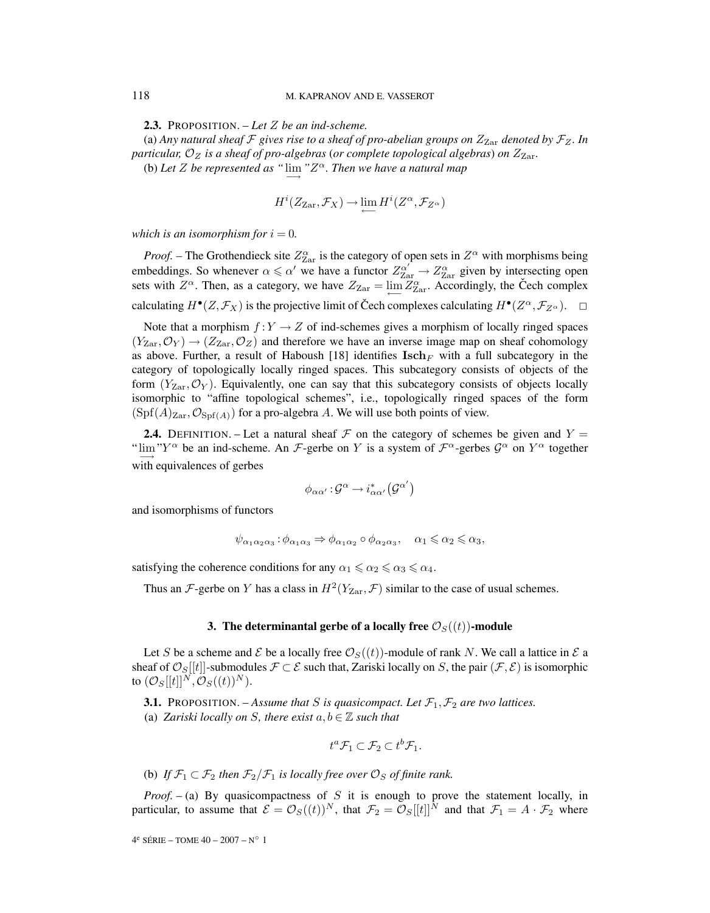**2.3.** PROPOSITION. – *Let* Z *be an ind-scheme.*

(a) Any natural sheaf  $\mathcal F$  gives rise to a sheaf of pro-abelian groups on  $Z_{\text{Zar}}$  denoted by  $\mathcal F_Z$ . In *particular,*  $\mathcal{O}_Z$  *is a sheaf of pro-algebras* (*or complete topological algebras*) *on*  $Z_{Zar}$ .

(b) Let *Z* be represented as " $\lim_{n \to \infty}$ " Z<sup> $\alpha$ </sup>. Then we have a natural map

$$
H^i(Z_{\text{Zar}}, \mathcal{F}_X) \to \varprojlim H^i(Z^{\alpha}, \mathcal{F}_{Z^{\alpha}})
$$

*which is an isomorphism for*  $i = 0$ *.* 

*Proof.* – The Grothendieck site  $Z_{\text{Zar}}^{\alpha}$  is the category of open sets in  $Z^{\alpha}$  with morphisms being embeddings. So whenever  $\alpha \le \alpha'$  we have a functor  $Z_{\text{Zar}}^{\alpha'} \to Z_{\text{Zar}}^{\alpha}$  given by intersecting open sets with  $Z^{\alpha}$ . Then, as a category, we have  $Z_{\text{Zar}} = \lim_{\longleftrightarrow} Z_{\text{Zar}}^{\alpha}$ . Accordingly, the Čech complex calculating  $H^{\bullet}(Z,\mathcal{F}_X)$  is the projective limit of Čech complexes calculating  $H^{\bullet}(Z^{\alpha},\mathcal{F}_{Z^{\alpha}})$ .

Note that a morphism  $f:Y \to Z$  of ind-schemes gives a morphism of locally ringed spaces  $(Y_{\text{Zar}},\mathcal{O}_Y) \rightarrow (Z_{\text{Zar}},\mathcal{O}_Z)$  and therefore we have an inverse image map on sheaf cohomology as above. Further, a result of Haboush [18] identifies  $\text{Isch}_F$  with a full subcategory in the category of topologically locally ringed spaces. This subcategory consists of objects of the form  $(Y_{\text{Zar}}, \mathcal{O}_Y)$ . Equivalently, one can say that this subcategory consists of objects locally isomorphic to "affine topological schemes", i.e., topologically ringed spaces of the form  $(Spf(A)<sub>Zar</sub>, \mathcal{O}<sub>Spf(A)</sub>$  for a pro-algebra A. We will use both points of view.

**2.4.** DEFINITION. – Let a natural sheaf  $\mathcal F$  on the category of schemes be given and  $Y =$ " $\lim_{\Delta t \to 0} Y^{\alpha}$  be an ind-scheme. An F-gerbe on Y is a system of  $\mathcal{F}^{\alpha}$ -gerbes  $\mathcal{G}^{\alpha}$  on  $Y^{\alpha}$  together with equivalences of gerbes

$$
\phi_{\alpha\alpha'} \colon \mathcal{G}^\alpha \to i_{\alpha\alpha'}^* \big( \mathcal{G}^{\alpha'} \big)
$$

and isomorphisms of functors

$$
\psi_{\alpha_1\alpha_2\alpha_3} : \phi_{\alpha_1\alpha_3} \Rightarrow \phi_{\alpha_1\alpha_2} \circ \phi_{\alpha_2\alpha_3}, \quad \alpha_1 \leq \alpha_2 \leq \alpha_3,
$$

satisfying the coherence conditions for any  $\alpha_1 \le \alpha_2 \le \alpha_3 \le \alpha_4$ .

Thus an F-gerbe on Y has a class in  $H^2(Y_{\text{Zar}}, \mathcal{F})$  similar to the case of usual schemes.

#### **3. The determinantal gerbe of a locally free**  $\mathcal{O}_S((t))$ -module

Let S be a scheme and E be a locally free  $\mathcal{O}_S((t))$ -module of rank N. We call a lattice in E a sheaf of  $\mathcal{O}_S[[t]]$ -submodules  $\mathcal{F} \subset \mathcal{E}$  such that, Zariski locally on S, the pair ( $\mathcal{F}, \mathcal{E}$ ) is isomorphic to  $(\mathcal{O}_S[[t]]^N, \mathcal{O}_S((t))^N)$ .

**3.1.** PROPOSITION. – Assume that S is quasicompact. Let  $\mathcal{F}_1, \mathcal{F}_2$  are two lattices. (a) *Zariski locally on S, there exist*  $a, b \in \mathbb{Z}$  *such that* 

$$
t^a \mathcal{F}_1 \subset \mathcal{F}_2 \subset t^b \mathcal{F}_1.
$$

(b) *If*  $\mathcal{F}_1 \subset \mathcal{F}_2$  *then*  $\mathcal{F}_2/\mathcal{F}_1$  *is locally free over*  $\mathcal{O}_S$  *of finite rank.* 

*Proof.* – (a) By quasicompactness of S it is enough to prove the statement locally, in particular, to assume that  $\mathcal{E} = \mathcal{O}_S((t))^N$ , that  $\mathcal{F}_2 = \mathcal{O}_S[[t]]^N$  and that  $\mathcal{F}_1 = A \cdot \mathcal{F}_2$  where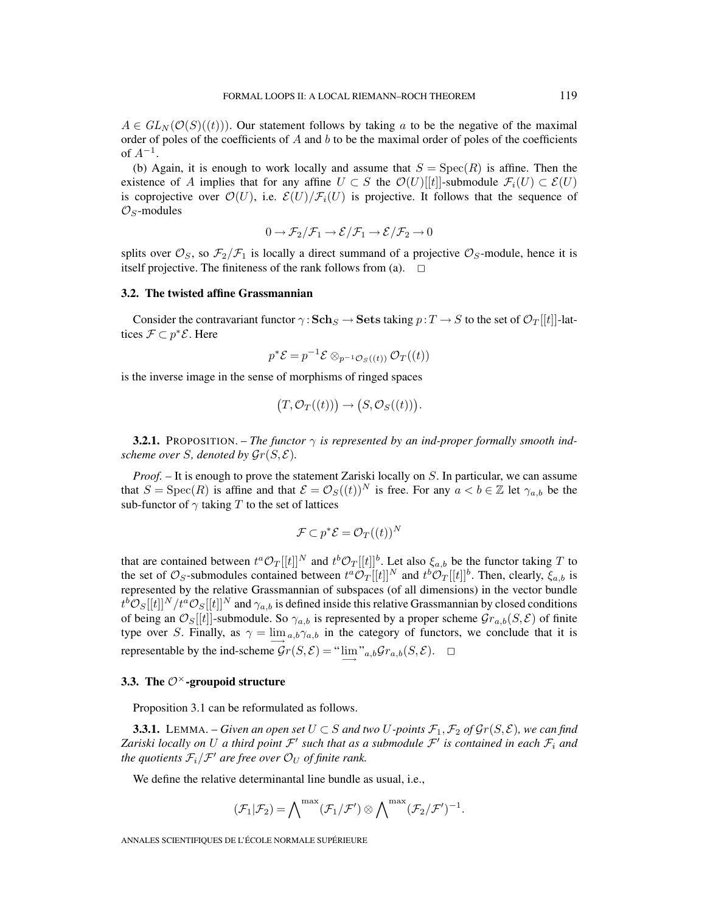$A \in GL_N(\mathcal{O}(S)((t)))$ . Our statement follows by taking a to be the negative of the maximal order of poles of the coefficients of A and b to be the maximal order of poles of the coefficients of  $A^{-1}$ .

(b) Again, it is enough to work locally and assume that  $S = \text{Spec}(R)$  is affine. Then the existence of A implies that for any affine  $U \subset S$  the  $\mathcal{O}(U)[[t]]$ -submodule  $\mathcal{F}_i(U) \subset \mathcal{E}(U)$ is coprojective over  $\mathcal{O}(U)$ , i.e.  $\mathcal{E}(U)/\mathcal{F}_i(U)$  is projective. It follows that the sequence of  $\mathcal{O}_S$ -modules

$$
0\to \mathcal{F}_2/\mathcal{F}_1\to \mathcal{E}/\mathcal{F}_1\to \mathcal{E}/\mathcal{F}_2\to 0
$$

splits over  $\mathcal{O}_S$ , so  $\mathcal{F}_2/\mathcal{F}_1$  is locally a direct summand of a projective  $\mathcal{O}_S$ -module, hence it is itself projective. The finiteness of the rank follows from (a).  $\Box$ 

#### **3.2. The twisted affine Grassmannian**

Consider the contravariant functor  $\gamma : \mathbf{Sch}_S \to \mathbf{Sets}$  taking  $p : T \to S$  to the set of  $\mathcal{O}_T[[t]]$ -lattices  $\mathcal{F} \subset p^* \mathcal{E}$ . Here

$$
p^*\mathcal{E} = p^{-1}\mathcal{E} \otimes_{p^{-1}\mathcal{O}_S((t))} \mathcal{O}_T((t))
$$

is the inverse image in the sense of morphisms of ringed spaces

$$
(T, \mathcal{O}_T((t))) \to (S, \mathcal{O}_S((t))).
$$

**3.2.1.** PROPOSITION. – *The functor* γ *is represented by an ind-proper formally smooth indscheme over S*, *denoted by*  $\mathcal{G}_r(S, \mathcal{E})$ *.* 

*Proof. –* It is enough to prove the statement Zariski locally on S. In particular, we can assume that  $S = \text{Spec}(R)$  is affine and that  $\mathcal{E} = \mathcal{O}_S((t))^N$  is free. For any  $a < b \in \mathbb{Z}$  let  $\gamma_{a,b}$  be the sub-functor of  $\gamma$  taking T to the set of lattices

$$
\mathcal{F} \subset p^* \mathcal{E} = \mathcal{O}_T((t))^N
$$

that are contained between  $t^a \mathcal{O}_T[[t]]^N$  and  $t^b \mathcal{O}_T[[t]]^b$ . Let also  $\xi_{a,b}$  be the functor taking T to the set of  $\mathcal{O}_S$ -submodules contained between  $t^a \mathcal{O}_T[[t]]^N$  and  $t^b \mathcal{O}_T[[t]]^b$ . Then, clearly,  $\xi_{a,b}$  is represented by the relative Grassmannian of subspaces (of all dimensions) in the vector bundle  $t^b\mathcal{O}_S[[t]]^N/t^a\mathcal{O}_S[[t]]^N$  and  $\gamma_{a,b}$  is defined inside this relative Grassmannian by closed conditions of being an  $\mathcal{O}_S[[t]]$ -submodule. So  $\gamma_{a,b}$  is represented by a proper scheme  $\mathcal{G}_{a,b}(S,\mathcal{E})$  of finite type over S. Finally, as  $\gamma = \lim_{a,b} \gamma_{a,b}$  in the category of functors, we conclude that it is representable by the ind-scheme  $\mathcal{G}r(S,\mathcal{E}) = \lim_{\longrightarrow} "a,b\mathcal{G}r_{a,b}(S,\mathcal{E}). \square$ 

# **3.3. The** O×**-groupoid structure**

Proposition 3.1 can be reformulated as follows.

**3.3.1.** LEMMA. – *Given an open set*  $U \subset S$  *and two*  $U$ -points  $\mathcal{F}_1, \mathcal{F}_2$  of  $\mathcal{G}_T(S, \mathcal{E})$ *, we can find Zariski locally on* U *a third point*  $\mathcal{F}'$  *such that as a submodule*  $\mathcal{F}'$  *is contained in each*  $\mathcal{F}_i$  *and the quotients*  $\mathcal{F}_i/\mathcal{F}'$  *are free over*  $\mathcal{O}_U$  *of finite rank.* 

We define the relative determinantal line bundle as usual, i.e.,

$$
(\mathcal{F}_1|\mathcal{F}_2) = \bigwedge\nolimits^{\max} (\mathcal{F}_1/\mathcal{F}') \otimes \bigwedge\nolimits^{\max} (\mathcal{F}_2/\mathcal{F}')^{-1}.
$$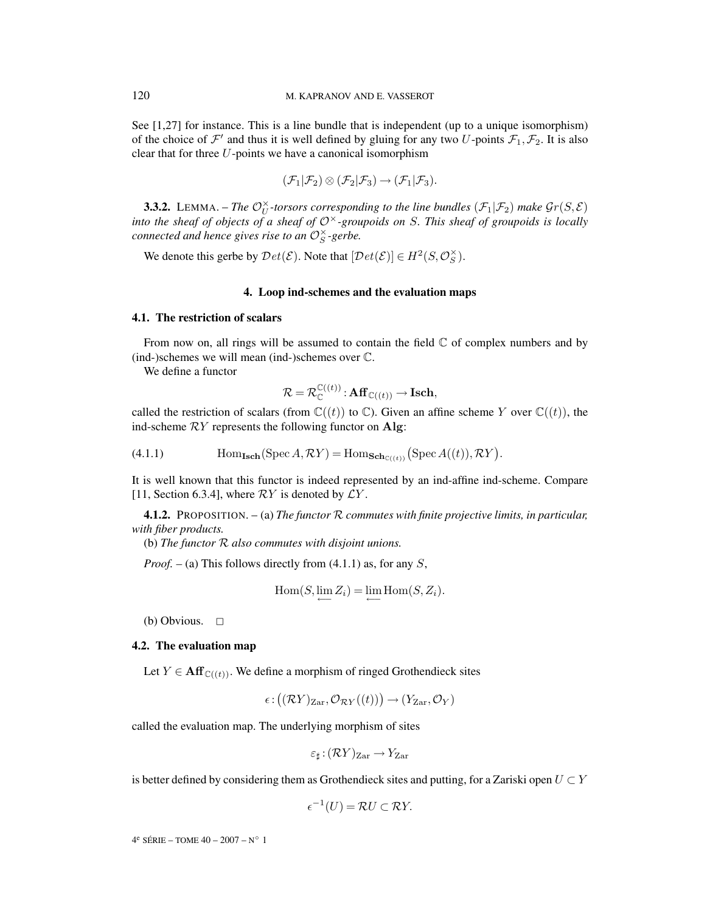See [1,27] for instance. This is a line bundle that is independent (up to a unique isomorphism) of the choice of  $\mathcal{F}'$  and thus it is well defined by gluing for any two U-points  $\mathcal{F}_1,\mathcal{F}_2$ . It is also clear that for three  $U$ -points we have a canonical isomorphism

$$
(\mathcal{F}_1|\mathcal{F}_2) \otimes (\mathcal{F}_2|\mathcal{F}_3) \rightarrow (\mathcal{F}_1|\mathcal{F}_3).
$$

**3.3.2.** LEMMA. – The  $\mathcal{O}_U^{\times}$ -torsors corresponding to the line bundles  $(\mathcal{F}_1|\mathcal{F}_2)$  make  $\mathcal{G}_r(S,\mathcal{E})$ *into the sheaf of objects of a sheaf of* O×*-groupoids on* S*. This sheaf of groupoids is locally connected and hence gives rise to an*  $\mathcal{O}_S^{\times}$ -gerbe.

We denote this gerbe by  $Det(\mathcal{E})$ . Note that  $[Det(\mathcal{E})] \in H^2(S, \mathcal{O}_S^{\times})$ .

#### **4. Loop ind-schemes and the evaluation maps**

#### **4.1. The restriction of scalars**

From now on, all rings will be assumed to contain the field  $\mathbb C$  of complex numbers and by (ind-)schemes we will mean (ind-)schemes over C.

We define a functor

$$
\mathcal{R} = \mathcal{R}_{\mathbb{C}}^{\mathbb{C}((t))} : \mathbf{Aff}_{\mathbb{C}((t))} \to \mathbf{Isch},
$$

called the restriction of scalars (from  $\mathbb{C}((t))$  to  $\mathbb{C}$ ). Given an affine scheme Y over  $\mathbb{C}((t))$ , the ind-scheme RY represents the following functor on **Alg**:

(4.1.1) 
$$
\text{Hom}_{\text{Isch}}(\text{Spec } A, \mathcal{R}Y) = \text{Hom}_{\text{Sch}_{\mathbb{C}((t))}}(\text{Spec } A((t)), \mathcal{R}Y).
$$

It is well known that this functor is indeed represented by an ind-affine ind-scheme. Compare [11, Section 6.3.4], where  $\mathcal{R}Y$  is denoted by  $\mathcal{L}Y$ .

**4.1.2.** PROPOSITION. – (a) *The functor* R *commutes with finite projective limits, in particular, with fiber products.*

(b) *The functor* R *also commutes with disjoint unions.*

*Proof.* – (a) This follows directly from (4.1.1) as, for any S,

$$
Hom(S, \lim_{i} Z_i) = \lim_{i} Hom(S, Z_i).
$$

(b) Obvious.  $\Box$ 

#### **4.2. The evaluation map**

Let  $Y \in \text{Aff}_{\mathbb{C}((t))}$ . We define a morphism of ringed Grothendieck sites

$$
\epsilon\!:\!\big((\mathcal{R}Y)_{\mathrm{Zar}},\mathcal{O}_{\mathcal{R}Y}((t))\big)\!\to\!(Y_{\mathrm{Zar}},\mathcal{O}_Y)
$$

called the evaluation map. The underlying morphism of sites

$$
\varepsilon_\sharp\!:\!(\mathcal{R}Y)_{\operatorname{Zar}}\!\to Y_{\operatorname{Zar}}
$$

is better defined by considering them as Grothendieck sites and putting, for a Zariski open  $U \subset Y$ 

$$
\epsilon^{-1}(U) = \mathcal{R}U \subset \mathcal{R}Y.
$$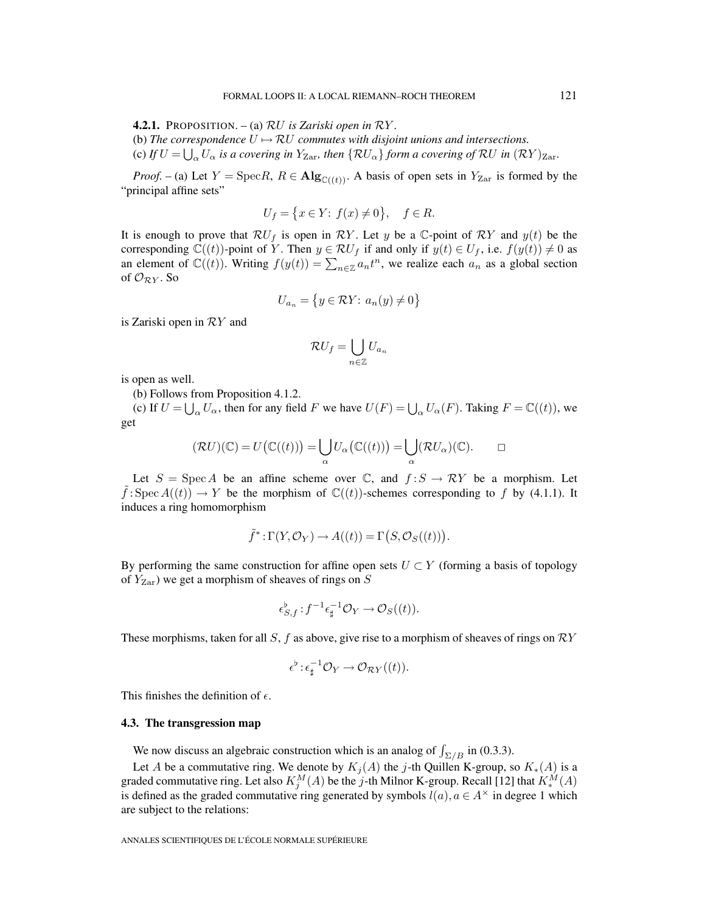**4.2.1.** PROPOSITION. – (a) RU *is Zariski open in* RY *.*

(b) The correspondence  $U \mapsto \mathcal{R}U$  commutes with disjoint unions and intersections. (c) If  $U = \bigcup_{\alpha} U_{\alpha}$  is a covering in  $Y_{\text{Zar}}$ , then  $\{ \mathcal{R} U_{\alpha} \}$  form a covering of  $\mathcal{R} U$  in  $(\mathcal{R} Y)_{\text{Zar}}$ .

*Proof.* – (a) Let  $Y = \text{Spec } R$ ,  $R \in \text{Alg}_{\mathbb{C}((t))}$ . A basis of open sets in  $Y_{\text{Zar}}$  is formed by the "principal affine sets"

$$
U_f = \left\{ x \in Y \colon f(x) \neq 0 \right\}, \quad f \in R.
$$

It is enough to prove that  $\mathcal{R}U_f$  is open in  $\mathcal{R}Y$ . Let y be a  $\mathbb{C}$ -point of  $\mathcal{R}Y$  and  $y(t)$  be the corresponding  $\mathbb{C}((t))$ -point of Y. Then  $y \in \mathcal{R}U_f$  if and only if  $y(t) \in U_f$ , i.e.  $f(y(t)) \neq 0$  as an element of  $\mathbb{C}((t))$ . Writing  $f(y(t)) = \sum_{n \in \mathbb{Z}} a_n t^n$ , we realize each  $a_n$  as a global section of  $\mathcal{O}_{\mathcal{R}Y}$ . So

$$
U_{a_n} = \left\{ y \in \mathcal{R}Y \colon a_n(y) \neq 0 \right\}
$$

is Zariski open in RY and

$$
\mathcal{R}U_f=\bigcup_{n\in\mathbb{Z}}U_{a_n}
$$

is open as well.

(b) Follows from Proposition 4.1.2.

(c) If  $U = \bigcup_{\alpha} U_{\alpha}$ , then for any field F we have  $U(F) = \bigcup_{\alpha} U_{\alpha}(F)$ . Taking  $F = \mathbb{C}((t))$ , we get

$$
(\mathcal{R}U)(\mathbb{C})=U\big(\mathbb{C}((t))\big)=\bigcup_{\alpha}U_{\alpha}\big(\mathbb{C}((t))\big)=\bigcup_{\alpha}(\mathcal{R}U_{\alpha})(\mathbb{C}).\qquad \Box
$$

Let  $S = \text{Spec } A$  be an affine scheme over  $\mathbb{C}$ , and  $f : S \to \mathcal{R}Y$  be a morphism. Let  $\tilde{f} : \text{Spec } A((t)) \to Y$  be the morphism of  $\mathbb{C}((t))$ -schemes corresponding to f by (4.1.1). It induces a ring homomorphism

$$
\tilde{f}^* : \Gamma(Y, \mathcal{O}_Y) \to A((t)) = \Gamma(S, \mathcal{O}_S((t))).
$$

By performing the same construction for affine open sets  $U \subset Y$  (forming a basis of topology of  $Y_{\text{Zar}}$ ) we get a morphism of sheaves of rings on S

$$
\epsilon_{S,f}^{\flat}: f^{-1}\epsilon_{\sharp}^{-1}\mathcal{O}_Y \to \mathcal{O}_S((t)).
$$

These morphisms, taken for all S, f as above, give rise to a morphism of sheaves of rings on  $\mathcal{R}Y$ 

$$
\epsilon^{\flat} : \epsilon_{\sharp}^{-1} \mathcal{O}_Y \to \mathcal{O}_{\mathcal{R}Y}((t)).
$$

This finishes the definition of  $\epsilon$ .

#### **4.3. The transgression map**

We now discuss an algebraic construction which is an analog of  $\int_{\Sigma/B}$  in (0.3.3).

Let A be a commutative ring. We denote by  $K_j(A)$  the j-th Quillen K-group, so  $K_*(A)$  is a graded commutative ring. Let also  $K_j^M(A)$  be the j-th Milnor K-group. Recall [12] that  $K_*^M(A)$ is defined as the graded commutative ring generated by symbols  $l(a)$ ,  $a \in A^{\times}$  in degree 1 which are subject to the relations: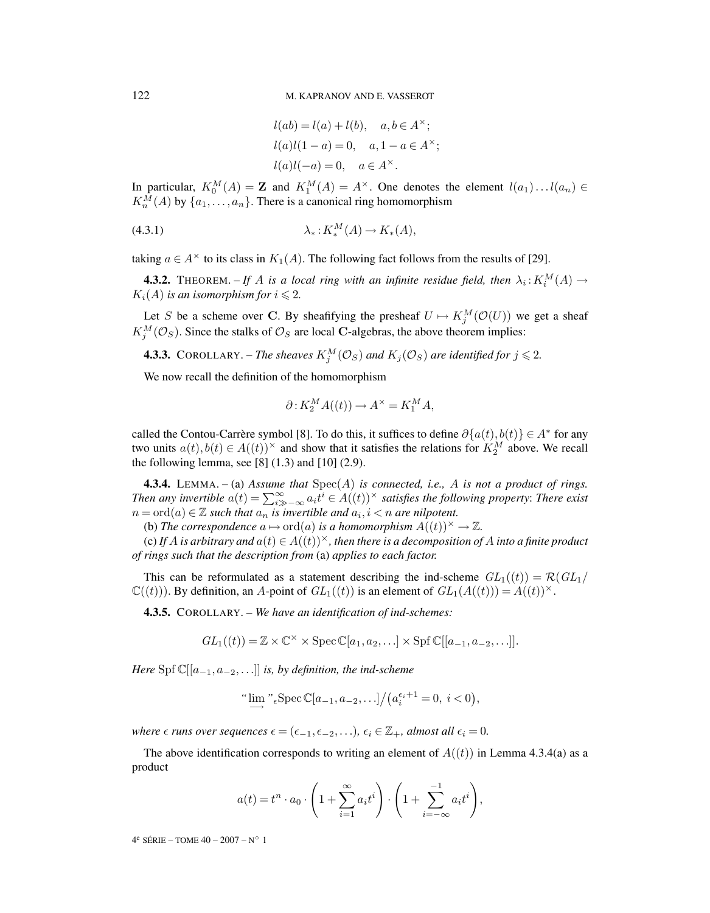$$
l(ab) = l(a) + l(b), \quad a, b \in A^{\times};
$$
  
\n
$$
l(a)l(1-a) = 0, \quad a, 1 - a \in A^{\times};
$$
  
\n
$$
l(a)l(-a) = 0, \quad a \in A^{\times}.
$$

In particular,  $K_0^M(A) = \mathbf{Z}$  and  $K_1^M(A) = A^{\times}$ . One denotes the element  $l(a_1) \dots l(a_n) \in$  $K_n^M(A)$  by  $\{a_1, \ldots, a_n\}$ . There is a canonical ring homomorphism

$$
\lambda_*: K_*^M(A) \to K_*(A),
$$

taking  $a \in A^{\times}$  to its class in  $K_1(A)$ . The following fact follows from the results of [29].

**4.3.2.** THEOREM. – If A is a local ring with an infinite residue field, then  $\lambda_i$ :  $K_i^M(A) \rightarrow$  $K_i(A)$  is an isomorphism for  $i \leqslant 2$ .

Let S be a scheme over C. By sheafifying the presheaf  $U \mapsto K_j^M(\mathcal{O}(U))$  we get a sheaf  $K_j^M(\mathcal{O}_S)$ . Since the stalks of  $\mathcal{O}_S$  are local **C**-algebras, the above theorem implies:

**4.3.3.** COROLLARY. – The sheaves  $K_j^M(\mathcal{O}_S)$  and  $K_j(\mathcal{O}_S)$  are identified for  $j \leqslant 2$ .

We now recall the definition of the homomorphism

$$
\partial: K_2^M A((t)) \to A^\times = K_1^M A,
$$

called the Contou-Carrère symbol [8]. To do this, it suffices to define  $\partial\{a(t), b(t)\}\in A^*$  for any two units  $a(t), b(t) \in A((t))^\times$  and show that it satisfies the relations for  $K_2^M$  above. We recall the following lemma, see [8]  $(1.3)$  and [10]  $(2.9)$ .

**4.3.4.** LEMMA. – (a) *Assume that* Spec(A) *is connected, i.e.,* A *is not a product of rings. Then any invertible*  $a(t) = \sum_{i=-\infty}^{\infty} a_i t^i \in A((t))^{\times}$  *satisfies the following property: There exist*  $n = \text{ord}(a) \in \mathbb{Z}$  *such that*  $a_n$  *is invertible and*  $a_i, i < n$  *are nilpotent.* 

(b) The correspondence  $a \mapsto \text{ord}(a)$  is a homomorphism  $A((t))^\times \to \mathbb{Z}$ .

(c) If A is arbitrary and  $a(t) \in A((t))^\times$ , then there is a decomposition of A into a finite product *of rings such that the description from* (a) *applies to each factor.*

This can be reformulated as a statement describing the ind-scheme  $GL_1((t)) = \mathcal{R}(GL_1)$  $\mathbb{C}((t))$ . By definition, an A-point of  $GL_1((t))$  is an element of  $GL_1(A((t))) = A((t))^\times$ .

**4.3.5.** COROLLARY. – *We have an identification of ind-schemes:*

 $GL_1((t)) = \mathbb{Z} \times \mathbb{C}^{\times} \times \text{Spec } \mathbb{C}[a_1, a_2, \ldots] \times \text{Spf } \mathbb{C}[[a_{-1}, a_{-2}, \ldots]].$ 

*Here* Spf  $\mathbb{C}[[a_{-1}, a_{-2}, \ldots]]$  *is, by definition, the ind-scheme* 

"
$$
\lim_{\longrightarrow} \int_{0}^{\infty} \text{Spec}\,\mathbb{C}[a_{-1}, a_{-2}, \ldots]/\big(a_i^{\epsilon_i+1} = 0, \ i < 0\big),
$$

where  $\epsilon$  runs over sequences  $\epsilon = (\epsilon_{-1}, \epsilon_{-2}, \ldots), \epsilon_i \in \mathbb{Z}_+$ , almost all  $\epsilon_i = 0$ .

The above identification corresponds to writing an element of  $A((t))$  in Lemma 4.3.4(a) as a product

$$
a(t) = t^n \cdot a_0 \cdot \left(1 + \sum_{i=1}^{\infty} a_i t^i\right) \cdot \left(1 + \sum_{i=-\infty}^{-1} a_i t^i\right),
$$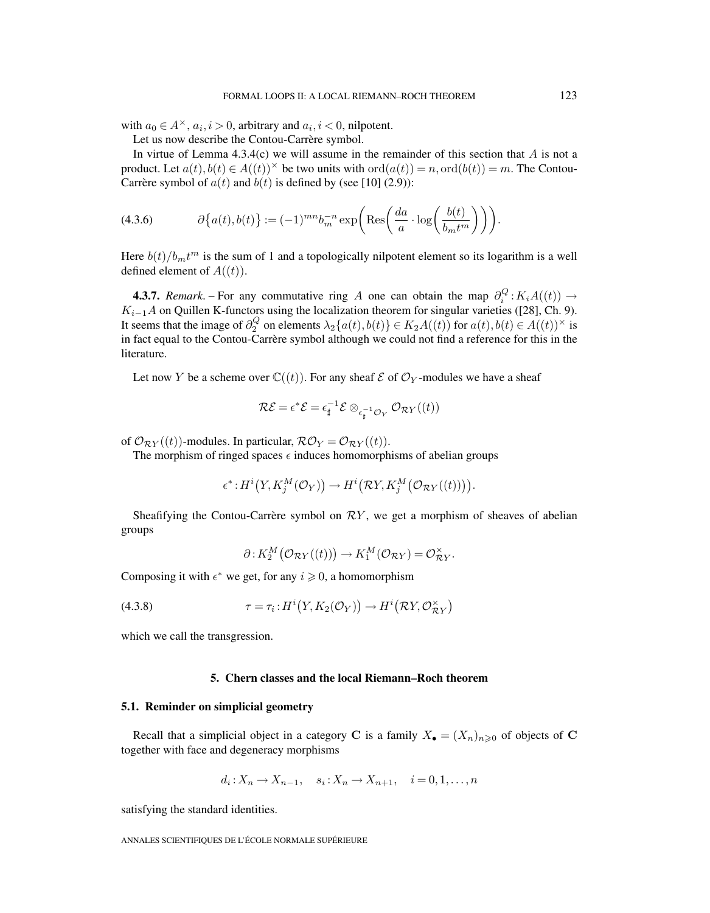with  $a_0 \in A^{\times}$ ,  $a_i, i>0$ , arbitrary and  $a_i, i< 0$ , nilpotent.

Let us now describe the Contou-Carrère symbol.

In virtue of Lemma  $4.3.4(c)$  we will assume in the remainder of this section that A is not a product. Let  $a(t), b(t) \in A((t))^\times$  be two units with  $\text{ord}(a(t)) = n, \text{ord}(b(t)) = m$ . The Contou-Carrère symbol of  $a(t)$  and  $b(t)$  is defined by (see [10] (2.9)):

(4.3.6) 
$$
\partial \{a(t), b(t)\} := (-1)^{mn} b_m^{-n} \exp\left(\text{Res}\left(\frac{da}{a} \cdot \log\left(\frac{b(t)}{b_m t^m}\right)\right)\right).
$$

Here  $b(t)/b_mt^m$  is the sum of 1 and a topologically nilpotent element so its logarithm is a well defined element of  $A((t))$ .

**4.3.7.** *Remark*. – For any commutative ring A one can obtain the map  $\partial_i^Q : K_i A((t)) \to$  $K_{i-1}A$  on Quillen K-functors using the localization theorem for singular varieties ([28], Ch. 9). It seems that the image of  $\partial_2^Q$  on elements  $\lambda_2\{a(t), b(t)\}\in K_2A((t))$  for  $a(t), b(t)\in A((t))^\times$  is in fact equal to the Contou-Carrère symbol although we could not find a reference for this in the literature.

Let now Y be a scheme over  $\mathbb{C}((t))$ . For any sheaf  $\mathcal E$  of  $\mathcal O_Y$ -modules we have a sheaf

$$
\mathcal{RE} = \epsilon^* \mathcal{E} = \epsilon_{\sharp}^{-1} \mathcal{E} \otimes_{\epsilon_{\sharp}^{-1} \mathcal{O}_Y} \mathcal{O}_{\mathcal{R}Y}((t))
$$

of  $\mathcal{O}_{\mathcal{R}Y}((t))$ -modules. In particular,  $\mathcal{R}\mathcal{O}_Y = \mathcal{O}_{\mathcal{R}Y}((t)).$ 

The morphism of ringed spaces  $\epsilon$  induces homomorphisms of abelian groups

$$
\epsilon^*: H^i\big(Y, K_j^M(\mathcal{O}_Y)\big) \to H^i\big(\mathcal{R}Y, K_j^M\big(\mathcal{O}_{\mathcal{R}Y}((t))\big)\big).
$$

Sheafifying the Contou-Carrère symbol on  $\mathcal{R}Y$ , we get a morphism of sheaves of abelian groups

$$
\partial: K_2^M\big(\mathcal{O}_{\mathcal{R}Y}((t))\big) \to K_1^M(\mathcal{O}_{\mathcal{R}Y}) = \mathcal{O}_{\mathcal{R}Y}^\times.
$$

Composing it with  $\epsilon^*$  we get, for any  $i \geq 0$ , a homomorphism

(4.3.8) 
$$
\tau = \tau_i : H^i(Y, K_2(\mathcal{O}_Y)) \to H^i(\mathcal{R}Y, \mathcal{O}_{\mathcal{R}Y}^{\times})
$$

which we call the transgression.

## **5. Chern classes and the local Riemann–Roch theorem**

#### **5.1. Reminder on simplicial geometry**

Recall that a simplicial object in a category **C** is a family  $X_{\bullet} = (X_n)_{n \geq 0}$  of objects of **C** together with face and degeneracy morphisms

$$
d_i: X_n \to X_{n-1}, \quad s_i: X_n \to X_{n+1}, \quad i=0,1,\ldots,n
$$

satisfying the standard identities.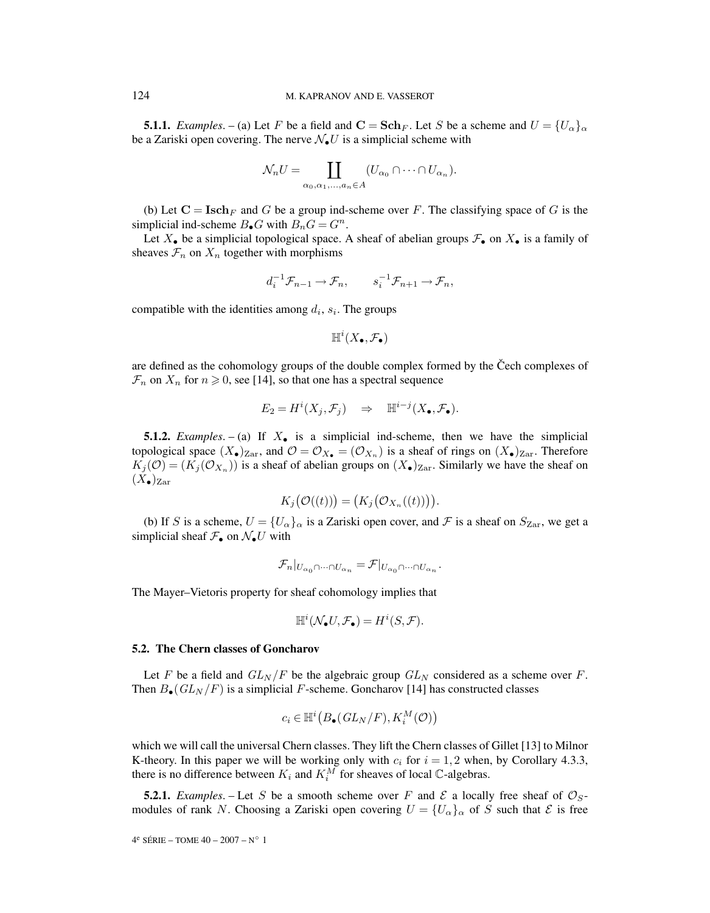**5.1.1.** *Examples.* – (a) Let F be a field and  $C = Sch_F$ . Let S be a scheme and  $U = \{U_{\alpha}\}_\alpha$ be a Zariski open covering. The nerve  $\mathcal{N}_{\bullet}U$  is a simplicial scheme with

$$
\mathcal{N}_n U = \coprod_{\alpha_0, \alpha_1, \dots, \alpha_n \in A} (U_{\alpha_0} \cap \dots \cap U_{\alpha_n}).
$$

(b) Let  $C = \mathbf{Isch}_F$  and G be a group ind-scheme over F. The classifying space of G is the simplicial ind-scheme  $B_{\bullet}G$  with  $B_nG = G^n$ .

Let  $X_{\bullet}$  be a simplicial topological space. A sheaf of abelian groups  $\mathcal{F}_{\bullet}$  on  $X_{\bullet}$  is a family of sheaves  $\mathcal{F}_n$  on  $X_n$  together with morphisms

$$
d_i^{-1} \mathcal{F}_{n-1} \to \mathcal{F}_n, \qquad s_i^{-1} \mathcal{F}_{n+1} \to \mathcal{F}_n,
$$

compatible with the identities among  $d_i$ ,  $s_i$ . The groups

$$
\mathbb{H}^i(X_\bullet, \mathcal{F}_\bullet)
$$

are defined as the cohomology groups of the double complex formed by the Čech complexes of  $\mathcal{F}_n$  on  $X_n$  for  $n \geq 0$ , see [14], so that one has a spectral sequence

$$
E_2 = H^i(X_j, \mathcal{F}_j) \quad \Rightarrow \quad \mathbb{H}^{i-j}(X_{\bullet}, \mathcal{F}_{\bullet}).
$$

**5.1.2.** *Examples*. – (a) If X• is a simplicial ind-scheme, then we have the simplicial topological space  $(X_{\bullet})_{\text{Zar}}$ , and  $\mathcal{O} = \mathcal{O}_{X_{\bullet}} = (\mathcal{O}_{X_n})$  is a sheaf of rings on  $(X_{\bullet})_{\text{Zar}}$ . Therefore  $K_i(\mathcal{O})=(K_i(\mathcal{O}_{X_n}))$  is a sheaf of abelian groups on  $(X_{\bullet})_{\text{Zar}}$ . Similarly we have the sheaf on  $(X_{\bullet})_{\text{Zar}}$ 

$$
K_j(\mathcal{O}((t))) = (K_j(\mathcal{O}_{X_n}((t)))\big).
$$

(b) If S is a scheme,  $U = \{U_{\alpha}\}_{\alpha}$  is a Zariski open cover, and F is a sheaf on  $S_{\text{Zar}}$ , we get a simplicial sheaf  $\mathcal{F}_{\bullet}$  on  $\mathcal{N}_{\bullet}U$  with

$$
\mathcal{F}_n|_{U_{\alpha_0}\cap\cdots\cap U_{\alpha_n}} = \mathcal{F}|_{U_{\alpha_0}\cap\cdots\cap U_{\alpha_n}}.
$$

The Mayer–Vietoris property for sheaf cohomology implies that

$$
\mathbb{H}^i(\mathcal{N}_{\bullet}U, \mathcal{F}_{\bullet}) = H^i(S, \mathcal{F}).
$$

#### **5.2. The Chern classes of Goncharov**

Let F be a field and  $GL_N/F$  be the algebraic group  $GL_N$  considered as a scheme over F. Then  $B_{\bullet}(GL_N/F)$  is a simplicial F-scheme. Goncharov [14] has constructed classes

$$
c_i \in \mathbb{H}^i\big(B_{\bullet}(GL_N/F), K_i^M(\mathcal{O})\big)
$$

which we will call the universal Chern classes. They lift the Chern classes of Gillet [13] to Milnor K-theory. In this paper we will be working only with  $c_i$  for  $i = 1, 2$  when, by Corollary 4.3.3, there is no difference between  $K_i$  and  $K_i^M$  for sheaves of local  $\mathbb C$ -algebras.

**5.2.1.** *Examples*. – Let S be a smooth scheme over F and E a locally free sheaf of  $\mathcal{O}_S$ modules of rank N. Choosing a Zariski open covering  $U = \{U_{\alpha}\}_\alpha$  of S such that  $\mathcal E$  is free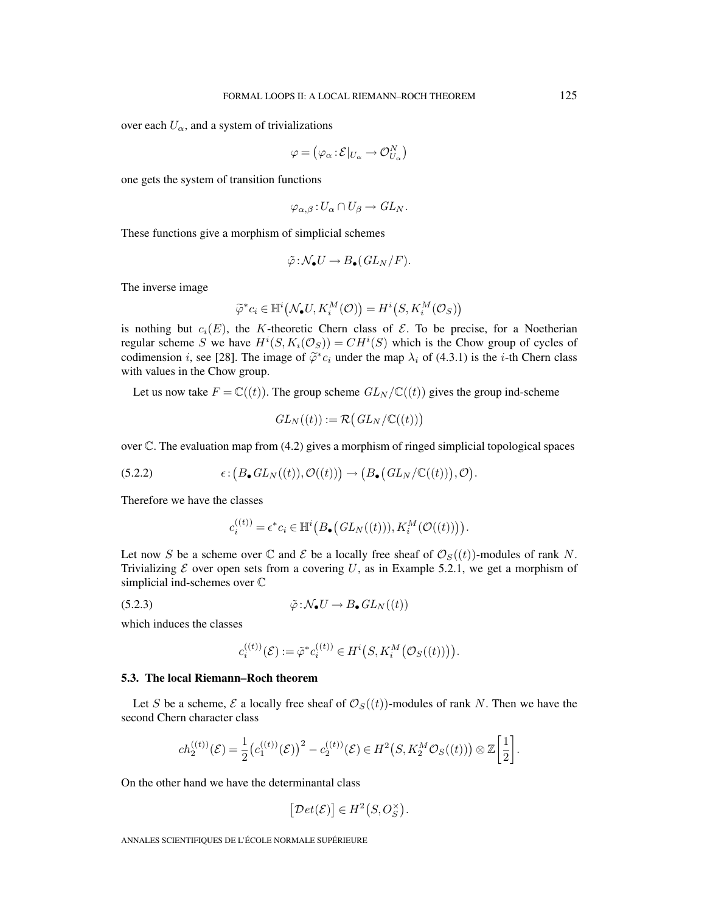over each  $U_{\alpha}$ , and a system of trivializations

$$
\varphi = \left(\varphi_\alpha \t:\mathcal{E}|_{U_\alpha} \to \mathcal{O}_{U_\alpha}^N\right)
$$

one gets the system of transition functions

$$
\varphi_{\alpha,\beta}\colon U_{\alpha}\cap U_{\beta}\to GL_N.
$$

These functions give a morphism of simplicial schemes

$$
\tilde{\varphi}: \mathcal{N}_{\bullet}U \to B_{\bullet}(GL_N/F).
$$

The inverse image

$$
\widetilde{\varphi}^* c_i \in \mathbb{H}^i(\mathcal{N}_{\bullet}U, K_i^M(\mathcal{O})) = H^i(S, K_i^M(\mathcal{O}_S))
$$

is nothing but  $c_i(E)$ , the K-theoretic Chern class of  $\mathcal E$ . To be precise, for a Noetherian regular scheme S we have  $H^i(S, K_i(\mathcal{O}_S)) = CH^i(S)$  which is the Chow group of cycles of codimension i, see [28]. The image of  $\tilde{\varphi}^*c_i$  under the map  $\lambda_i$  of (4.3.1) is the i-th Chern class with values in the Chow group.

Let us now take  $F = \mathbb{C}((t))$ . The group scheme  $GL_N/\mathbb{C}((t))$  gives the group ind-scheme

$$
GL_N((t)) := \mathcal{R}(GL_N/\mathbb{C}((t)))
$$

over  $\mathbb C$ . The evaluation map from (4.2) gives a morphism of ringed simplicial topological spaces

(5.2.2) 
$$
\epsilon: (B_{\bullet} GL_N((t)), \mathcal{O}((t))) \to (B_{\bullet} (GL_N/\mathbb{C}((t))), \mathcal{O}).
$$

Therefore we have the classes

$$
c_i^{((t))} = \epsilon^* c_i \in \mathbb{H}^i\big(B_{\bullet}\big(GL_N((t))\big), K_i^M\big(\mathcal{O}((t))\big)\big).
$$

Let now S be a scheme over C and E be a locally free sheaf of  $\mathcal{O}_S((t))$ -modules of rank N. Trivializing  $\mathcal E$  over open sets from a covering U, as in Example 5.2.1, we get a morphism of simplicial ind-schemes over C

(5.2.3) 
$$
\tilde{\varphi} : \mathcal{N}_{\bullet} U \to B_{\bullet} GL_N((t))
$$

which induces the classes

$$
c_i^{((t))}(\mathcal{E}) := \tilde{\varphi}^* c_i^{((t))} \in H^i(S, K_i^M(\mathcal{O}_S((t)))).
$$

## **5.3. The local Riemann–Roch theorem**

Let S be a scheme, E a locally free sheaf of  $\mathcal{O}_S((t))$ -modules of rank N. Then we have the second Chern character class

$$
ch_2^{((t))}(\mathcal{E}) = \frac{1}{2} (c_1^{((t))}(\mathcal{E}))^2 - c_2^{((t))}(\mathcal{E}) \in H^2(S, K_2^M \mathcal{O}_S((t))) \otimes \mathbb{Z} \left[ \frac{1}{2} \right].
$$

On the other hand we have the determinantal class

$$
\big[\mathcal{D}et(\mathcal{E})\big]\in H^2\big(S,O_S^{\times}\big).
$$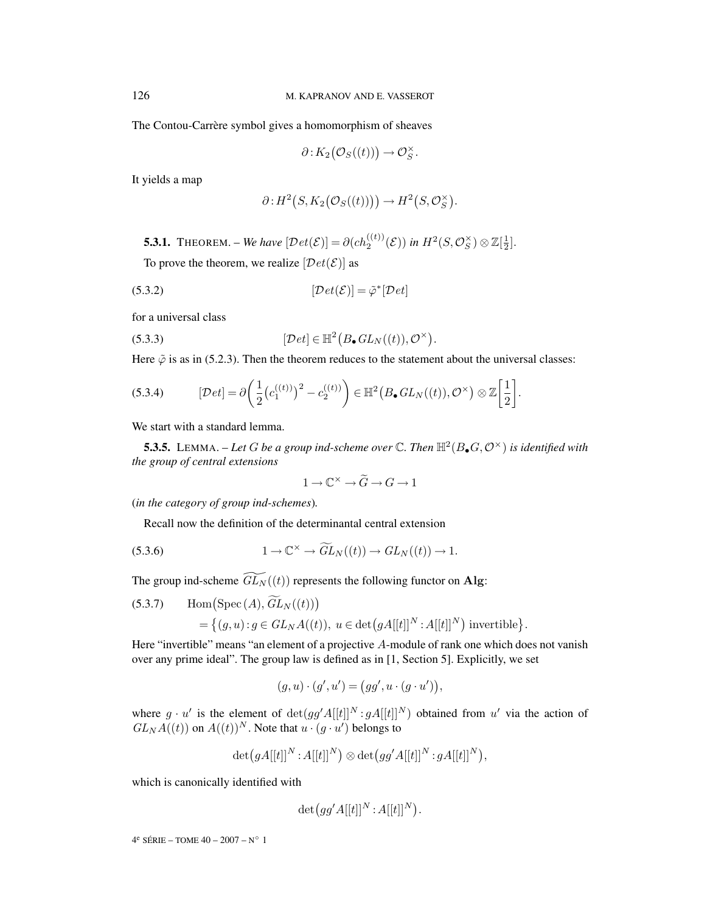The Contou-Carrère symbol gives a homomorphism of sheaves

$$
\partial: K_2\big(\mathcal{O}_S((t))\big) \to \mathcal{O}_S^{\times}.
$$

It yields a map

$$
\partial: H^2(S, K_2(\mathcal{O}_S((t)))) \to H^2(S, \mathcal{O}_S^{\times}).
$$

**5.3.1.** THEOREM. – *We have*  $[\mathcal{D}et(\mathcal{E})] = \partial(ch_2^{((t))}(\mathcal{E}))$  *in*  $H^2(S, \mathcal{O}_S^{\times}) \otimes \mathbb{Z}[\frac{1}{2}]$ . To prove the theorem, we realize  $[Det(E)]$  as

$$
[Det(\mathcal{E})] = \tilde{\varphi}^* [Det]
$$

for a universal class

(5.3.3) 
$$
[\mathcal{D}et] \in \mathbb{H}^2(B_{\bullet} GL_N((t)), \mathcal{O}^{\times}).
$$

Here  $\tilde{\varphi}$  is as in (5.2.3). Then the theorem reduces to the statement about the universal classes:

$$
(5.3.4) \qquad [\mathcal{D}et] = \partial \bigg(\frac{1}{2} \big( c_1^{((t))}\big)^2 - c_2^{((t))} \bigg) \in \mathbb{H}^2(B_{\bullet} GL_N((t)), \mathcal{O}^{\times}) \otimes \mathbb{Z} \bigg[\frac{1}{2}\bigg].
$$

We start with a standard lemma.

**5.3.5.** LEMMA. – Let G be a group ind-scheme over  $\mathbb{C}$ . Then  $\mathbb{H}^2(B_\bullet G, \mathcal{O}^\times)$  is identified with *the group of central extensions*

$$
1 \to \mathbb{C}^\times \to \widetilde{G} \to G \to 1
$$

(*in the category of group ind-schemes*)*.*

Recall now the definition of the determinantal central extension

(5.3.6) 
$$
1 \to \mathbb{C}^{\times} \to \widetilde{GL}_N((t)) \to GL_N((t)) \to 1.
$$

The group ind-scheme  $\widetilde{GL_N}((t))$  represents the following functor on Alg:

(5.3.7) Hom(Spec (A), 
$$
\widetilde{GL}_N((t))
$$
)  
= { $(g, u) : g \in GL_NA((t)), u \in \det(gA[[t]]^N : A[[t]]^N)$  invertible}.

Here "invertible" means "an element of a projective A-module of rank one which does not vanish over any prime ideal". The group law is defined as in [1, Section 5]. Explicitly, we set

$$
(g, u) \cdot (g', u') = (gg', u \cdot (g \cdot u')),
$$

where  $g \cdot u'$  is the element of  $det(gg'A[[t]]^N : gA[[t]]^N)$  obtained from u' via the action of  $GL_N A((t))$  on  $A((t))^N$ . Note that  $u \cdot (g \cdot u')$  belongs to

$$
\det(gA[[t]]^N: A[[t]]^N) \otimes \det(gg'A[[t]]^N: gA[[t]]^N),
$$

which is canonically identified with

$$
\det\bigl(gg'A[[t]]^N\!:\!A[[t]]^N\bigr).
$$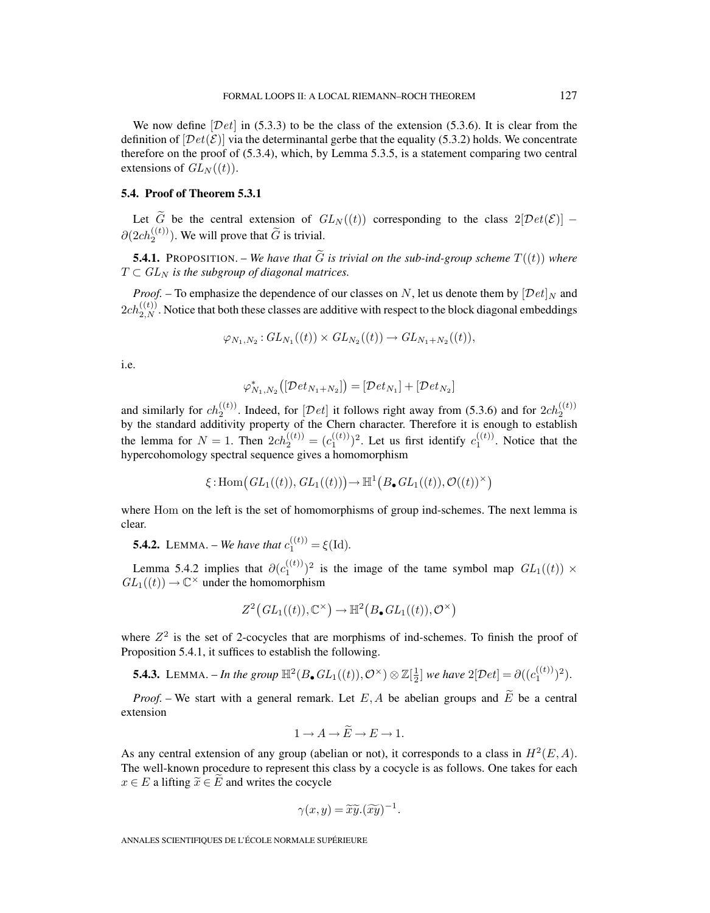We now define  $[Det]$  in (5.3.3) to be the class of the extension (5.3.6). It is clear from the definition of  $[Det(\mathcal{E})]$  via the determinantal gerbe that the equality (5.3.2) holds. We concentrate therefore on the proof of (5.3.4), which, by Lemma 5.3.5, is a statement comparing two central extensions of  $GL_N((t))$ .

# **5.4. Proof of Theorem 5.3.1**

Let  $\tilde{G}$  be the central extension of  $GL_N((t))$  corresponding to the class  $2[\mathcal{D}et(\mathcal{E})]$  –  $\partial(2ch_2^{((t))})$ . We will prove that  $\tilde{G}$  is trivial.

**5.4.1.** PROPOSITION. – We have that  $\widetilde{G}$  is trivial on the sub-ind-group scheme  $T((t))$  where  $T \subset GL_N$  *is the subgroup of diagonal matrices.* 

*Proof.* – To emphasize the dependence of our classes on N, let us denote them by  $[\mathcal{D}et]_N$  and  $2ch_{2,N}^{((t))}$ . Notice that both these classes are additive with respect to the block diagonal embeddings

$$
\varphi_{N_1,N_2}: GL_{N_1}((t)) \times GL_{N_2}((t)) \to GL_{N_1+N_2}((t)),
$$

i.e.

$$
\varphi_{N_1,N_2}^*\big([\mathcal{D}et_{N_1+N_2}]\big)=[\mathcal{D}et_{N_1}]+[\mathcal{D}et_{N_2}]
$$

and similarly for  $ch_2^{((t))}$ . Indeed, for  $[Det]$  it follows right away from (5.3.6) and for  $2ch_2^{((t))}$ by the standard additivity property of the Chern character. Therefore it is enough to establish the lemma for  $N = 1$ . Then  $2ch_2^{((t))} = (c_1^{((t))})^2$ . Let us first identify  $c_1^{((t))}$ . Notice that the hypercohomology spectral sequence gives a homomorphism

$$
\xi: \mathrm{Hom}\big(GL_1((t)), GL_1((t))\big) \to \mathbb{H}^1\big(B_\bullet GL_1((t)), \mathcal{O}((t))^\times\big)
$$

where Hom on the left is the set of homomorphisms of group ind-schemes. The next lemma is clear.

**5.4.2.** LEMMA. – *We have that*  $c_1^{((t))} = \xi(\text{Id})$ .

Lemma 5.4.2 implies that  $\partial (c_1^{(\{t\})})^2$  is the image of the tame symbol map  $GL_1((t)) \times$  $GL_1((t)) \to \mathbb{C}^\times$  under the homomorphism

$$
Z^2\big(GL_1((t)),\mathbb{C}^\times\big)\to\mathbb{H}^2\big(B_\bullet\,GL_1((t)),\mathcal{O}^\times\big)
$$

where  $Z^2$  is the set of 2-cocycles that are morphisms of ind-schemes. To finish the proof of Proposition 5.4.1, it suffices to establish the following.

**5.4.3.** LEMMA. – *In the group*  $\mathbb{H}^2(B_\bullet GL_1((t)), \mathcal{O}^\times) \otimes \mathbb{Z}[\frac{1}{2}]$  *we have*  $2[\mathcal{D}et] = \partial((c_1^{((t)})^2)$ .

*Proof.* – We start with a general remark. Let E, A be abelian groups and  $\widetilde{E}$  be a central extension

$$
1 \to A \to \widetilde{E} \to E \to 1.
$$

As any central extension of any group (abelian or not), it corresponds to a class in  $H^2(E, A)$ . The well-known procedure to represent this class by a cocycle is as follows. One takes for each  $x \in E$  a lifting  $\widetilde{x} \in \widetilde{E}$  and writes the cocycle

$$
\gamma(x, y) = \widetilde{x}\widetilde{y}.(\widetilde{xy})^{-1}.
$$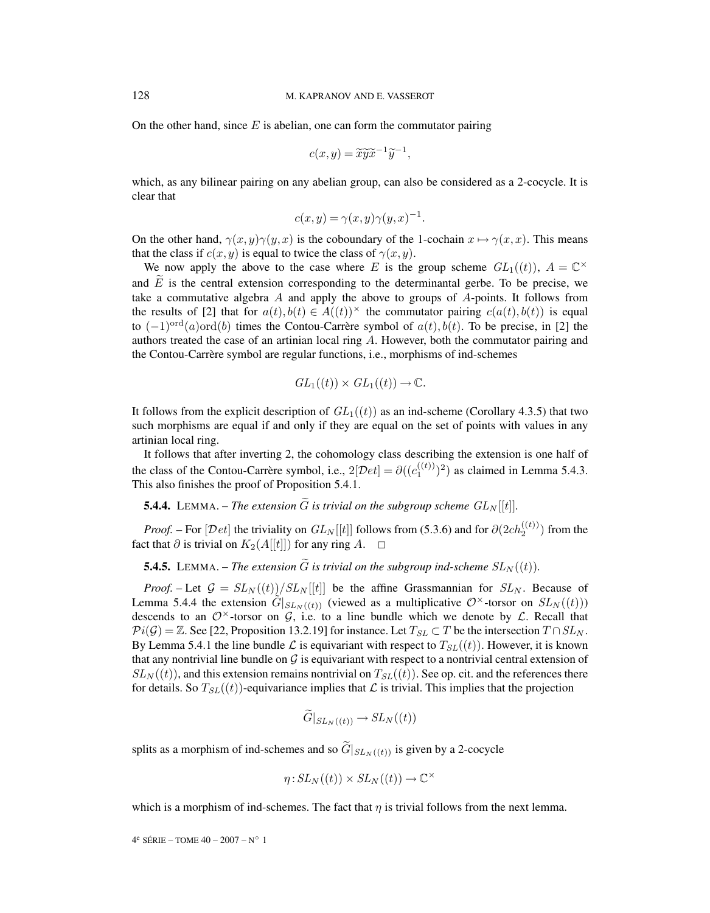On the other hand, since  $E$  is abelian, one can form the commutator pairing

$$
c(x,y) = \widetilde{x}\widetilde{y}\widetilde{x}^{-1}\widetilde{y}^{-1},
$$

which, as any bilinear pairing on any abelian group, can also be considered as a 2-cocycle. It is clear that

$$
c(x, y) = \gamma(x, y)\gamma(y, x)^{-1}.
$$

On the other hand,  $\gamma(x, y)\gamma(y, x)$  is the coboundary of the 1-cochain  $x \mapsto \gamma(x, x)$ . This means that the class if  $c(x, y)$  is equal to twice the class of  $\gamma(x, y)$ .

We now apply the above to the case where E is the group scheme  $GL_1((t))$ ,  $A = \mathbb{C}^\times$ and  $E$  is the central extension corresponding to the determinantal gerbe. To be precise, we take a commutative algebra A and apply the above to groups of  $A$ -points. It follows from the results of [2] that for  $a(t), b(t) \in A((t))^\times$  the commutator pairing  $c(a(t), b(t))$  is equal to  $(-1)^{\text{ord}}(a)$ ord $(b)$  times the Contou-Carrère symbol of  $a(t)$ ,  $b(t)$ . To be precise, in [2] the authors treated the case of an artinian local ring  $A$ . However, both the commutator pairing and the Contou-Carrère symbol are regular functions, i.e., morphisms of ind-schemes

$$
GL_1((t)) \times GL_1((t)) \to \mathbb{C}.
$$

It follows from the explicit description of  $GL_1((t))$  as an ind-scheme (Corollary 4.3.5) that two such morphisms are equal if and only if they are equal on the set of points with values in any artinian local ring.

It follows that after inverting 2, the cohomology class describing the extension is one half of the class of the Contou-Carrère symbol, i.e.,  $2[\mathcal{D}et] = \partial ((c_1^{((t))})^2)$  as claimed in Lemma 5.4.3. This also finishes the proof of Proposition 5.4.1.

**5.4.4.** LEMMA. – *The extension*  $\widetilde{G}$  *is trivial on the subgroup scheme*  $GL_N[[t]]$ *.* 

*Proof.* – For  $[Det]$  the triviality on  $GL_N[[t]]$  follows from (5.3.6) and for  $\partial(2ch_2^{((t))})$  from the fact that  $\partial$  is trivial on  $K_2(A[[t]])$  for any ring  $A$ .  $\Box$ 

**5.4.5.** LEMMA. – *The extension*  $\widetilde{G}$  *is trivial on the subgroup ind-scheme*  $SL_N((t))$ *.* 

*Proof.* – Let  $G = SL_N((t))/SL_N[[t]]$  be the affine Grassmannian for  $SL_N$ . Because of Lemma 5.4.4 the extension  $\tilde{G}|_{SL_N((t))}$  (viewed as a multiplicative  $\mathcal{O}^{\times}$ -torsor on  $SL_N((t)))$ descends to an  $\mathcal{O}^{\times}$ -torsor on G, i.e. to a line bundle which we denote by  $\mathcal{L}$ . Recall that  $\mathcal{P}i(\mathcal{G}) = \mathbb{Z}$ . See [22, Proposition 13.2.19] for instance. Let  $T_{SL} \subset T$  be the intersection  $T \cap SL_N$ . By Lemma 5.4.1 the line bundle  $\mathcal L$  is equivariant with respect to  $T_{SL}((t))$ . However, it is known that any nontrivial line bundle on  $\mathcal G$  is equivariant with respect to a nontrivial central extension of  $SL_N((t))$ , and this extension remains nontrivial on  $T_{SL}((t))$ . See op. cit. and the references there for details. So  $T_{SL}((t))$ -equivariance implies that  $\mathcal L$  is trivial. This implies that the projection

$$
\widetilde{G}|_{SL_N((t))} \to SL_N((t))
$$

splits as a morphism of ind-schemes and so  $\widetilde{G}|_{SL_N((t))}$  is given by a 2-cocycle

$$
\eta: SL_N((t)) \times SL_N((t)) \to \mathbb{C}^\times
$$

which is a morphism of ind-schemes. The fact that  $\eta$  is trivial follows from the next lemma.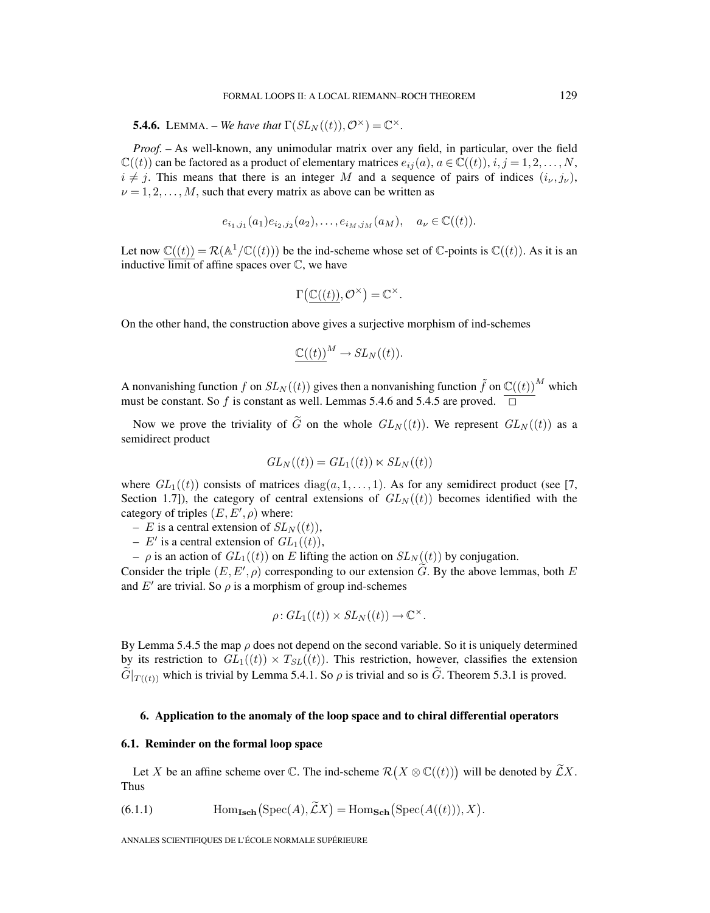**5.4.6.** LEMMA. – *We have that*  $\Gamma(SL_N((t)), \mathcal{O}^{\times}) = \mathbb{C}^{\times}$ .

*Proof. –* As well-known, any unimodular matrix over any field, in particular, over the field  $\mathbb{C}((t))$  can be factored as a product of elementary matrices  $e_{ij}(a), a \in \mathbb{C}((t)), i, j = 1, 2, ..., N$ ,  $i \neq j$ . This means that there is an integer M and a sequence of pairs of indices  $(i_{\nu}, j_{\nu})$ ,  $\nu = 1, 2, \dots, M$ , such that every matrix as above can be written as

$$
e_{i_1,j_1}(a_1)e_{i_2,j_2}(a_2),\ldots,e_{i_M,j_M}(a_M), a_{\nu} \in \mathbb{C}((t)).
$$

Let now  $\mathbb{C}((t)) = \mathcal{R}(\mathbb{A}^1/\mathbb{C}((t)))$  be the ind-scheme whose set of  $\mathbb{C}$ -points is  $\mathbb{C}((t))$ . As it is an inductive  $\overline{\text{limit}}$  of affine spaces over  $\mathbb{C}$ , we have

$$
\Gamma\big(\mathbb{C}((t)), \mathcal{O}^\times\big) = \mathbb{C}^\times.
$$

On the other hand, the construction above gives a surjective morphism of ind-schemes

$$
\underline{\mathbb{C}((t))}^M \to SL_N((t)).
$$

A nonvanishing function f on  $SL_N((t))$  gives then a nonvanishing function  $\tilde{f}$  on  $\mathbb{C}((t))^M$  which must be constant. So f is constant as well. Lemmas 5.4.6 and 5.4.5 are proved.  $\Box$ 

Now we prove the triviality of  $\tilde{G}$  on the whole  $GL_N((t))$ . We represent  $GL_N((t))$  as a semidirect product

$$
GL_N((t)) = GL_1((t)) \ltimes SL_N((t))
$$

where  $GL_1((t))$  consists of matrices diag(a, 1,..., 1). As for any semidirect product (see [7, Section 1.7]), the category of central extensions of  $GL_N((t))$  becomes identified with the category of triples  $(E, E', \rho)$  where:

- E is a central extension of  $SL_N((t))$ ,
- $E'$  is a central extension of  $GL_1((t))$ ,
- $\rho$  is an action of  $GL_1((t))$  on E lifting the action on  $SL_N((t))$  by conjugation.

Consider the triple  $(E, E', \rho)$  corresponding to our extension G. By the above lemmas, both E and  $E'$  are trivial. So  $\rho$  is a morphism of group ind-schemes

$$
\rho: GL_1((t)) \times SL_N((t)) \to \mathbb{C}^{\times}.
$$

By Lemma 5.4.5 the map  $\rho$  does not depend on the second variable. So it is uniquely determined by its restriction to  $GL_1((t)) \times T_{SL}((t))$ . This restriction, however, classifies the extension  $\widetilde{G}|_{T((t))}$  which is trivial by Lemma 5.4.1. So  $\rho$  is trivial and so is  $\widetilde{G}$ . Theorem 5.3.1 is proved.

#### **6. Application to the anomaly of the loop space and to chiral differential operators**

#### **6.1. Reminder on the formal loop space**

Let X be an affine scheme over  $\mathbb{C}$ . The ind-scheme  $\mathcal{R}(X \otimes \mathbb{C}((t)))$  will be denoted by  $\widetilde{\mathcal{L}}X$ . Thus

(6.1.1) 
$$
\text{Hom}_{\text{Isch}}\big(\text{Spec}(A), \widetilde{\mathcal{L}}X\big) = \text{Hom}_{\text{Sch}}\big(\text{Spec}(A((t))), X\big).
$$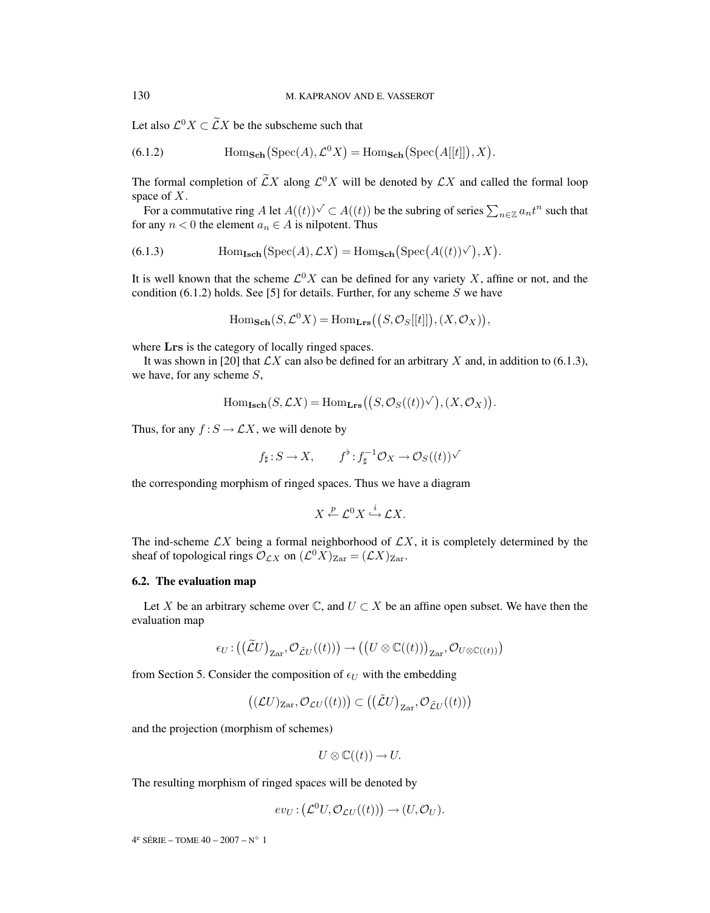Let also  $\mathcal{L}^0 X \subset \widetilde{\mathcal{L}} X$  be the subscheme such that

(6.1.2) 
$$
\text{Hom}_{\text{Sch}}(\text{Spec}(A), \mathcal{L}^0 X) = \text{Hom}_{\text{Sch}}(\text{Spec}(A[[t]]), X).
$$

The formal completion of  $\widetilde{\mathcal{L}}X$  along  $\mathcal{L}^0X$  will be denoted by  $\mathcal{L}X$  and called the formal loop space of  $X$ .

For a commutative ring A let  $A((t)) \vee \subset A((t))$  be the subring of series  $\sum_{n \in \mathbb{Z}} a_n t^n$  such that for any  $n < 0$  the element  $a_n \in A$  is nilpotent. Thus

(6.1.3) 
$$
\text{Hom}_{\text{Isch}}(\text{Spec}(A), \mathcal{L}X) = \text{Hom}_{\text{Sch}}(\text{Spec}(A((t))\vee), X).
$$

It is well known that the scheme  $\mathcal{L}^0 X$  can be defined for any variety X, affine or not, and the condition (6.1.2) holds. See [5] for details. Further, for any scheme  $S$  we have

 $\text{Hom}_{\textbf{Sch}}(S, \mathcal{L}^0 X) = \text{Hom}_{\textbf{Lrs}}((S, \mathcal{O}_S[[t]]), (X, \mathcal{O}_X)),$ 

where **Lrs** is the category of locally ringed spaces.

It was shown in [20] that  $\mathcal{L}X$  can also be defined for an arbitrary X and, in addition to (6.1.3), we have, for any scheme  $S$ ,

$$
\mathrm{Hom}_{\mathbf{Isch}}(S,\mathcal{L}X)=\mathrm{Hom}_{\mathbf{Lrs}}\big(\big(S,\mathcal{O}_S((t))^\vee\big),(X,\mathcal{O}_X)\big).
$$

Thus, for any  $f : S \to \mathcal{L}X$ , we will denote by

$$
f_{\sharp}: S \to X
$$
,  $f^{\flat}: f_{\sharp}^{-1} \mathcal{O}_X \to \mathcal{O}_S((t))\sqrt{}$ 

the corresponding morphism of ringed spaces. Thus we have a diagram

$$
X \xleftarrow{p} \mathcal{L}^0 X \xrightarrow{i} \mathcal{L} X.
$$

The ind-scheme  $\mathcal{L}X$  being a formal neighborhood of  $\mathcal{L}X$ , it is completely determined by the sheaf of topological rings  $\mathcal{O}_{\mathcal{L}X}$  on  $(\mathcal{L}^0 X)_{\text{Zar}} = (\mathcal{L}X)_{\text{Zar}}$ .

#### **6.2. The evaluation map**

Let X be an arbitrary scheme over  $\mathbb{C}$ , and  $U \subset X$  be an affine open subset. We have then the evaluation map

$$
\epsilon_U:((\widetilde{\mathcal{L}}U)_{\mathrm{Zar}},\mathcal{O}_{\widetilde{\mathcal{L}}U}((t)))\to ((U\otimes \mathbb{C}((t)))_{\mathrm{Zar}},\mathcal{O}_{U\otimes \mathbb{C}((t))})
$$

from Section 5. Consider the composition of  $\epsilon_U$  with the embedding

$$
\big((\mathcal{L}U)_{\text{Zar}},\mathcal{O}_{\mathcal{L}U}((t))\big) \subset \big(\big(\tilde{\mathcal{L}}U\big)_{\text{Zar}},\mathcal{O}_{\tilde{\mathcal{L}}U}((t))\big)
$$

and the projection (morphism of schemes)

$$
U\otimes \mathbb{C}((t))\to U.
$$

The resulting morphism of ringed spaces will be denoted by

$$
ev_U: (\mathcal{L}^0 U, \mathcal{O}_{\mathcal{L}U}((t))) \to (U, \mathcal{O}_U).
$$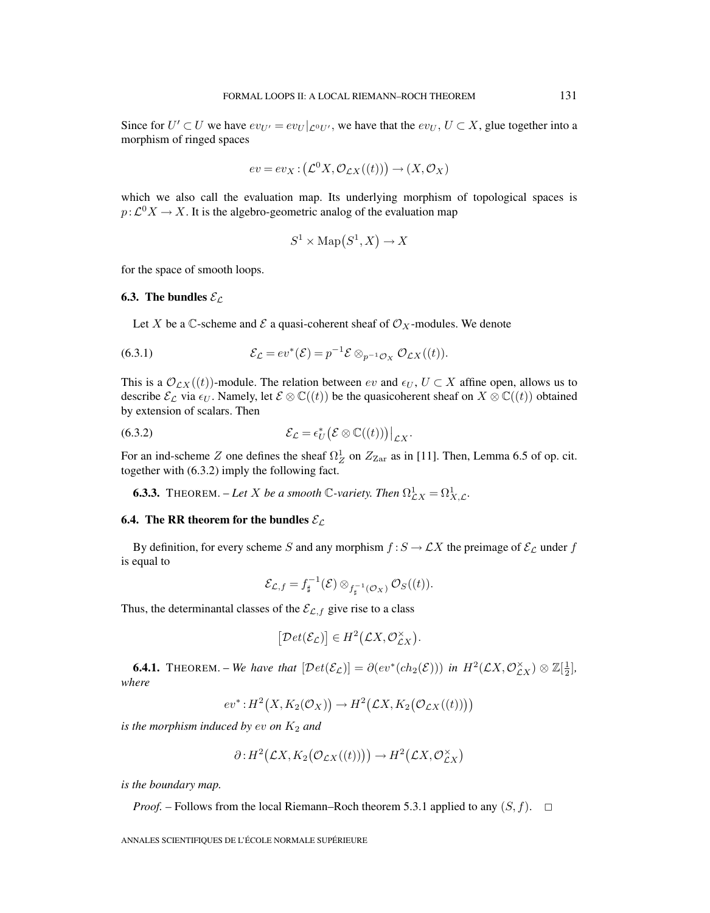Since for  $U' \subset U$  we have  $ev_{U'} = ev_U |_{\mathcal{L}^0 U'}$ , we have that the  $ev_U$ ,  $U \subset X$ , glue together into a morphism of ringed spaces

$$
ev = ev_X : (\mathcal{L}^0 X, \mathcal{O}_{\mathcal{L}X}((t))) \to (X, \mathcal{O}_X)
$$

which we also call the evaluation map. Its underlying morphism of topological spaces is  $p:\mathcal{L}^0 X \to X$ . It is the algebro-geometric analog of the evaluation map

$$
S^1 \times \text{Map}(S^1, X) \to X
$$

for the space of smooth loops.

#### **6.3. The bundles**  $\mathcal{E}_\mathcal{L}$

Let X be a  $\mathbb C$ -scheme and  $\mathcal E$  a quasi-coherent sheaf of  $\mathcal O_X$ -modules. We denote

(6.3.1) 
$$
\mathcal{E}_{\mathcal{L}} = ev^*(\mathcal{E}) = p^{-1} \mathcal{E} \otimes_{p^{-1}\mathcal{O}_X} \mathcal{O}_{\mathcal{L}X}((t)).
$$

This is a  $\mathcal{O}_{\mathcal{L}X}(t)$ -module. The relation between ev and  $\epsilon_U, U \subset X$  affine open, allows us to describe  $\mathcal{E}_{\mathcal{L}}$  via  $\epsilon_U$ . Namely, let  $\mathcal{E} \otimes \mathbb{C}((t))$  be the quasicoherent sheaf on  $X \otimes \mathbb{C}((t))$  obtained by extension of scalars. Then

(6.3.2) 
$$
\mathcal{E}_{\mathcal{L}} = \epsilon_U^* \big( \mathcal{E} \otimes \mathbb{C}((t)) \big) \big|_{\mathcal{L}X}.
$$

For an ind-scheme Z one defines the sheaf  $\Omega_Z^1$  on  $Z_{\text{Zar}}$  as in [11]. Then, Lemma 6.5 of op. cit. together with (6.3.2) imply the following fact.

**6.3.3.** THEOREM. – Let X be a smooth  $\mathbb{C}$ -variety. Then  $\Omega^1_{\mathcal{L}X} = \Omega^1_{X,\mathcal{L}}$ .

#### **6.4. The RR theorem for the bundles**  $\mathcal{E}_{\mathcal{L}}$

By definition, for every scheme S and any morphism  $f : S \to \mathcal{L}X$  the preimage of  $\mathcal{E}_{\mathcal{L}}$  under f is equal to

$$
\mathcal{E}_{\mathcal{L},f} = f_{\sharp}^{-1}(\mathcal{E}) \otimes_{f_{\sharp}^{-1}(\mathcal{O}_X)} \mathcal{O}_S((t)).
$$

Thus, the determinantal classes of the  $\mathcal{E}_{\mathcal{L},f}$  give rise to a class

$$
[\mathcal{D}et(\mathcal{E}_{\mathcal{L}})] \in H^2(\mathcal{L}X, \mathcal{O}_{\mathcal{L}X}^{\times}).
$$

**6.4.1.** THEOREM. – *We have that*  $[\mathcal{D}et(\mathcal{E}_{\mathcal{L}})] = \partial(ev^*(ch_2(\mathcal{E})))$  *in*  $H^2(\mathcal{L}X, \mathcal{O}_{\mathcal{L}X}^{\times}) \otimes \mathbb{Z}[\frac{1}{2}],$ *where*

$$
ev^*: H^2(X, K_2(\mathcal{O}_X)) \to H^2(\mathcal{L}X, K_2(\mathcal{O}_{\mathcal{L}X}((t))))
$$

*is the morphism induced by ev on*  $K_2$  *and* 

$$
\partial: H^2(\mathcal{L}X, K_2(\mathcal{O}_{\mathcal{L}X}((t)))) \to H^2(\mathcal{L}X, \mathcal{O}_{\mathcal{L}X}^\times)
$$

*is the boundary map.*

*Proof.* – Follows from the local Riemann–Roch theorem 5.3.1 applied to any  $(S, f)$ .  $\square$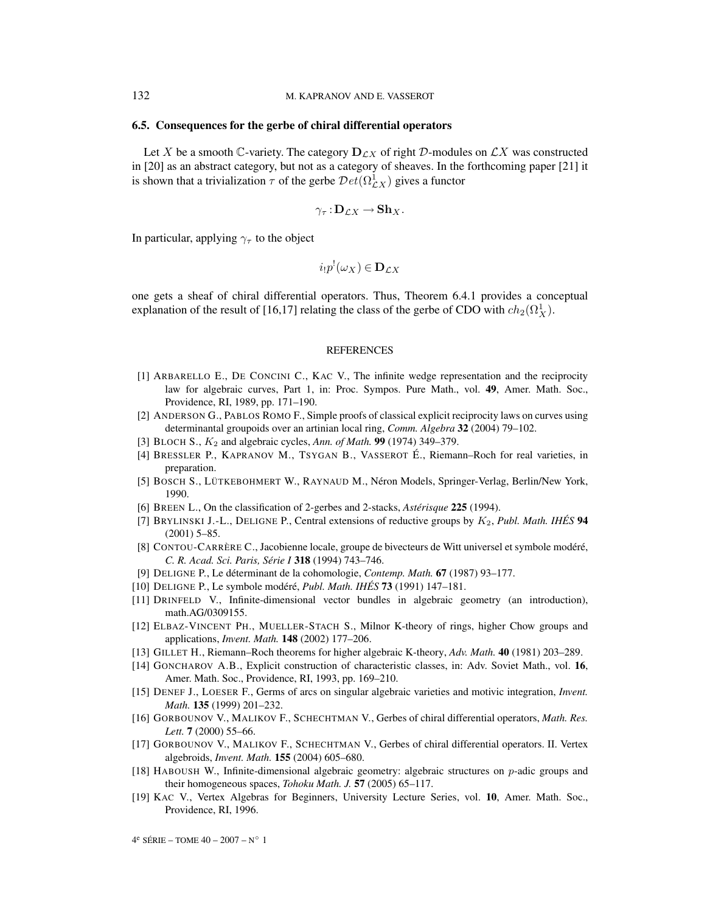#### **6.5. Consequences for the gerbe of chiral differential operators**

Let X be a smooth C-variety. The category  $D_{CX}$  of right D-modules on  $\mathcal{L}X$  was constructed in [20] as an abstract category, but not as a category of sheaves. In the forthcoming paper [21] it is shown that a trivialization  $\tau$  of the gerbe  $Det(\Omega_{\mathcal{L}X}^1)$  gives a functor

$$
\gamma_{\tau}: \mathbf{D}_{\mathcal{L}X} \to \mathbf{Sh}_{X}.
$$

In particular, applying  $\gamma_{\tau}$  to the object

$$
i_!p^!(\omega_X)\in \mathbf{D}_{\mathcal{L}X}
$$

one gets a sheaf of chiral differential operators. Thus, Theorem 6.4.1 provides a conceptual explanation of the result of [16,17] relating the class of the gerbe of CDO with  $ch_2(\Omega^1_X)$ .

#### **REFERENCES**

- [1] ARBARELLO E., DE CONCINI C., KAC V., The infinite wedge representation and the reciprocity law for algebraic curves, Part 1, in: Proc. Sympos. Pure Math., vol. **49**, Amer. Math. Soc., Providence, RI, 1989, pp. 171–190.
- [2] ANDERSON G., PABLOS ROMO F., Simple proofs of classical explicit reciprocity laws on curves using determinantal groupoids over an artinian local ring, *Comm. Algebra* **32** (2004) 79–102.
- [3] BLOCH S., K<sup>2</sup> and algebraic cycles, *Ann. of Math.* **99** (1974) 349–379.
- [4] BRESSLER P., KAPRANOV M., TSYGAN B., VASSEROT É., Riemann–Roch for real varieties, in preparation.
- [5] BOSCH S., LÜTKEBOHMERT W., RAYNAUD M., Néron Models, Springer-Verlag, Berlin/New York, 1990.
- [6] BREEN L., On the classification of 2-gerbes and 2-stacks, *Astérisque* **225** (1994).
- [7] BRYLINSKI J.-L., DELIGNE P., Central extensions of reductive groups by K2, *Publ. Math. IHÉS* **94** (2001) 5–85.
- [8] CONTOU-CARRÈRE C., Jacobienne locale, groupe de bivecteurs de Witt universel et symbole modéré, *C. R. Acad. Sci. Paris, Série I* **318** (1994) 743–746.
- [9] DELIGNE P., Le déterminant de la cohomologie, *Contemp. Math.* **67** (1987) 93–177.
- [10] DELIGNE P., Le symbole modéré, *Publ. Math. IHÉS* **73** (1991) 147–181.
- [11] DRINFELD V., Infinite-dimensional vector bundles in algebraic geometry (an introduction), math.AG/0309155.
- [12] ELBAZ-VINCENT PH., MUELLER-STACH S., Milnor K-theory of rings, higher Chow groups and applications, *Invent. Math.* **148** (2002) 177–206.
- [13] GILLET H., Riemann–Roch theorems for higher algebraic K-theory, *Adv. Math.* **40** (1981) 203–289.
- [14] GONCHAROV A.B., Explicit construction of characteristic classes, in: Adv. Soviet Math., vol. **16**, Amer. Math. Soc., Providence, RI, 1993, pp. 169–210.
- [15] DENEF J., LOESER F., Germs of arcs on singular algebraic varieties and motivic integration, *Invent. Math.* **135** (1999) 201–232.
- [16] GORBOUNOV V., MALIKOV F., SCHECHTMAN V., Gerbes of chiral differential operators, *Math. Res. Lett.* **7** (2000) 55–66.
- [17] GORBOUNOV V., MALIKOV F., SCHECHTMAN V., Gerbes of chiral differential operators. II. Vertex algebroids, *Invent. Math.* **155** (2004) 605–680.
- [18] HABOUSH W., Infinite-dimensional algebraic geometry: algebraic structures on p-adic groups and their homogeneous spaces, *Tohoku Math. J.* **57** (2005) 65–117.
- [19] KAC V., Vertex Algebras for Beginners, University Lecture Series, vol. **10**, Amer. Math. Soc., Providence, RI, 1996.